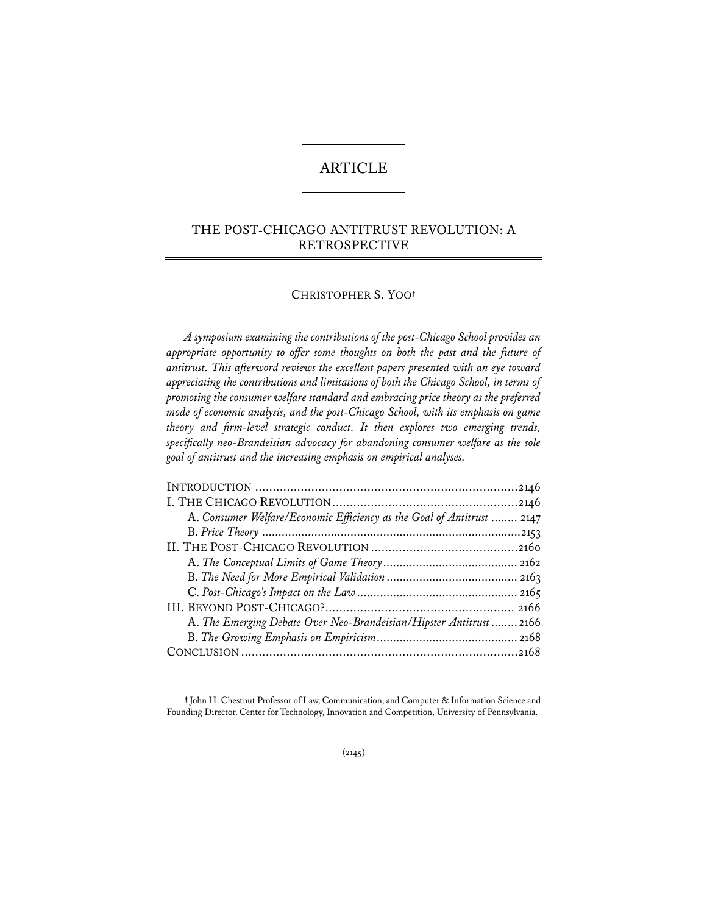# ARTICLE

# THE POST-CHICAGO ANTITRUST REVOLUTION: A RETROSPECTIVE

# CHRISTOPHER S. YOO**†**

*A symposium examining the contributions of the post-Chicago School provides an appropriate opportunity to offer some thoughts on both the past and the future of antitrust. This afterword reviews the excellent papers presented with an eye toward appreciating the contributions and limitations of both the Chicago School, in terms of promoting the consumer welfare standard and embracing price theory as the preferred mode of economic analysis, and the post-Chicago School, with its emphasis on game theory and firm-level strategic conduct. It then explores two emerging trends, specifically neo-Brandeisian advocacy for abandoning consumer welfare as the sole goal of antitrust and the increasing emphasis on empirical analyses.*

| A. Consumer Welfare/Economic Efficiency as the Goal of Antitrust  2147 |
|------------------------------------------------------------------------|
|                                                                        |
|                                                                        |
|                                                                        |
|                                                                        |
|                                                                        |
|                                                                        |
| A. The Emerging Debate Over Neo-Brandeisian/Hipster Antitrust  2166    |
|                                                                        |
|                                                                        |
|                                                                        |

**<sup>†</sup>** John H. Chestnut Professor of Law, Communication, and Computer & Information Science and Founding Director, Center for Technology, Innovation and Competition, University of Pennsylvania.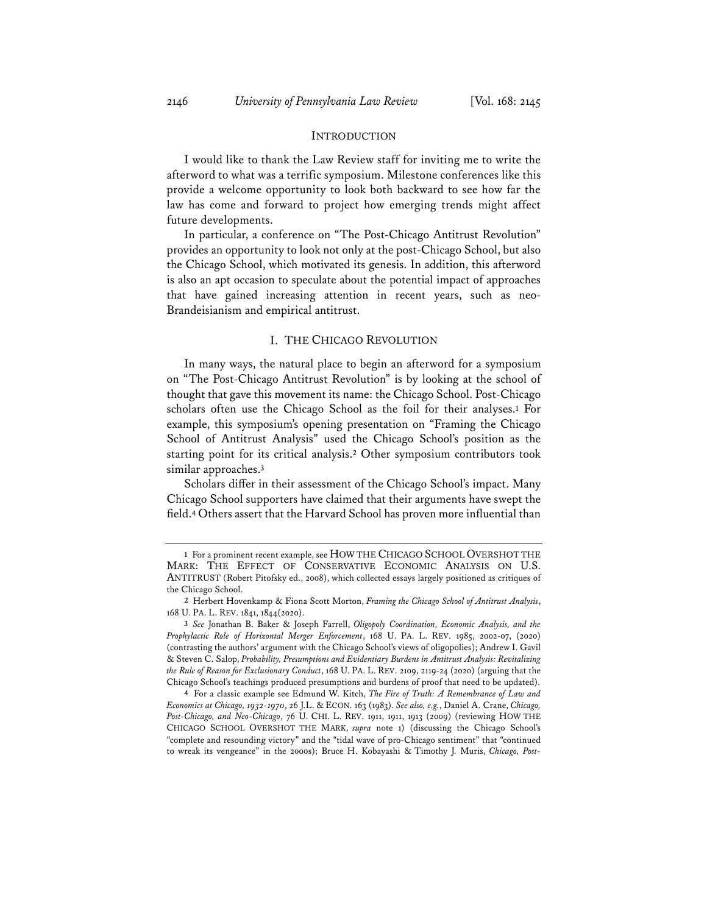#### INTRODUCTION

I would like to thank the Law Review staff for inviting me to write the afterword to what was a terrific symposium. Milestone conferences like this provide a welcome opportunity to look both backward to see how far the law has come and forward to project how emerging trends might affect future developments.

In particular, a conference on "The Post-Chicago Antitrust Revolution" provides an opportunity to look not only at the post-Chicago School, but also the Chicago School, which motivated its genesis. In addition, this afterword is also an apt occasion to speculate about the potential impact of approaches that have gained increasing attention in recent years, such as neo-Brandeisianism and empirical antitrust.

## I. THE CHICAGO REVOLUTION

In many ways, the natural place to begin an afterword for a symposium on "The Post-Chicago Antitrust Revolution" is by looking at the school of thought that gave this movement its name: the Chicago School. Post-Chicago scholars often use the Chicago School as the foil for their analyses.**<sup>1</sup>** For example, this symposium's opening presentation on "Framing the Chicago School of Antitrust Analysis" used the Chicago School's position as the starting point for its critical analysis.**<sup>2</sup>** Other symposium contributors took similar approaches.**<sup>3</sup>**

Scholars differ in their assessment of the Chicago School's impact. Many Chicago School supporters have claimed that their arguments have swept the field.**<sup>4</sup>** Others assert that the Harvard School has proven more influential than

**<sup>1</sup>** For a prominent recent example, see HOW THE CHICAGO SCHOOL OVERSHOT THE MARK: THE EFFECT OF CONSERVATIVE ECONOMIC ANALYSIS ON U.S. ANTITRUST (Robert Pitofsky ed., 2008), which collected essays largely positioned as critiques of the Chicago School.

**<sup>2</sup>** Herbert Hovenkamp & Fiona Scott Morton, *Framing the Chicago School of Antitrust Analysis*, 168 U. PA. L. REV. 1841, 1844(2020).

**<sup>3</sup>** *See* Jonathan B. Baker & Joseph Farrell, *Oligopoly Coordination, Economic Analysis, and the Prophylactic Role of Horizontal Merger Enforcement*, 168 U. PA. L. REV. 1985, 2002-07, (2020) (contrasting the authors' argument with the Chicago School's views of oligopolies); Andrew I. Gavil & Steven C. Salop, *Probability, Presumptions and Evidentiary Burdens in Antitrust Analysis: Revitalizing the Rule of Reason for Exclusionary Conduct*, 168 U. PA. L. REV. 2109, 2119-24 (2020) (arguing that the Chicago School's teachings produced presumptions and burdens of proof that need to be updated).

**<sup>4</sup>** For a classic example see Edmund W. Kitch, *The Fire of Truth: A Remembrance of Law and Economics at Chicago, 1932-1970*, 26 J.L. & ECON. 163 (1983). *See also, e.g.*, Daniel A. Crane, *Chicago, Post-Chicago, and Neo-Chicago*, 76 U. CHI. L. REV. 1911, 1911, 1913 (2009) (reviewing HOW THE CHICAGO SCHOOL OVERSHOT THE MARK, *supra* note 1) (discussing the Chicago School's "complete and resounding victory" and the "tidal wave of pro-Chicago sentiment" that "continued to wreak its vengeance" in the 2000s); Bruce H. Kobayashi & Timothy J. Muris, *Chicago, Post-*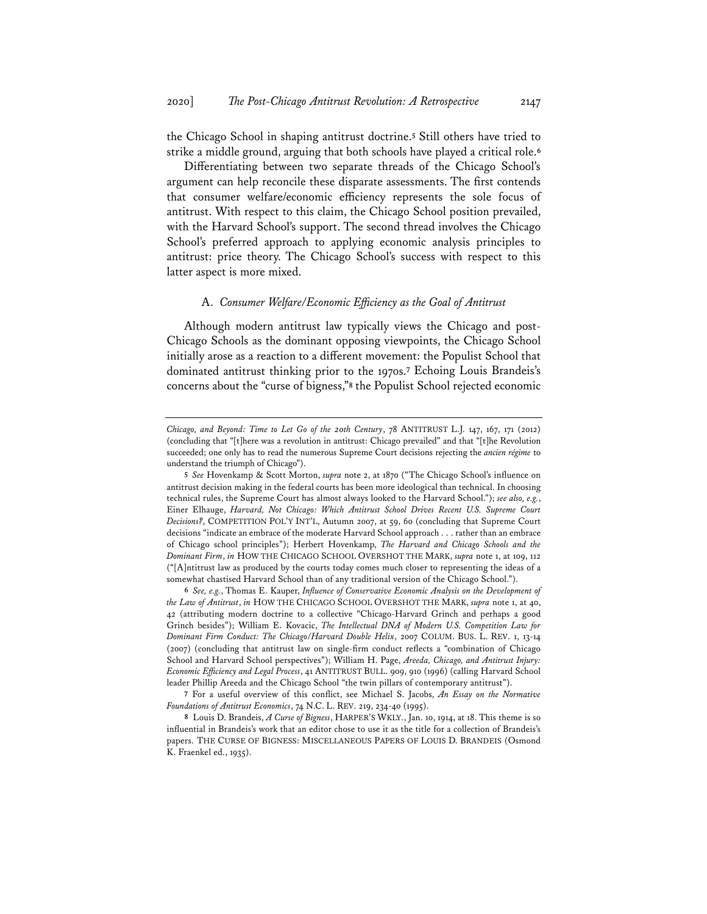the Chicago School in shaping antitrust doctrine.**<sup>5</sup>** Still others have tried to strike a middle ground, arguing that both schools have played a critical role.**<sup>6</sup>**

Differentiating between two separate threads of the Chicago School's argument can help reconcile these disparate assessments. The first contends that consumer welfare/economic efficiency represents the sole focus of antitrust. With respect to this claim, the Chicago School position prevailed, with the Harvard School's support. The second thread involves the Chicago School's preferred approach to applying economic analysis principles to antitrust: price theory. The Chicago School's success with respect to this latter aspect is more mixed.

#### A. *Consumer Welfare/Economic Efficiency as the Goal of Antitrust*

Although modern antitrust law typically views the Chicago and post-Chicago Schools as the dominant opposing viewpoints, the Chicago School initially arose as a reaction to a different movement: the Populist School that dominated antitrust thinking prior to the 1970s.**<sup>7</sup>** Echoing Louis Brandeis's concerns about the "curse of bigness,"**<sup>8</sup>** the Populist School rejected economic

*Chicago, and Beyond: Time to Let Go of the 20th Century*, 78 ANTITRUST L.J. 147, 167, 171 (2012) (concluding that "[t]here was a revolution in antitrust: Chicago prevailed" and that "[t]he Revolution succeeded; one only has to read the numerous Supreme Court decisions rejecting the *ancien régime* to understand the triumph of Chicago").

**<sup>5</sup>** *See* Hovenkamp & Scott Morton, *supra* note 2, at 1870 ("The Chicago School's influence on antitrust decision making in the federal courts has been more ideological than technical. In choosing technical rules, the Supreme Court has almost always looked to the Harvard School."); *see also, e.g.*, Einer Elhauge, *Harvard, Not Chicago: Which Antitrust School Drives Recent U.S. Supreme Court Decisions?*, COMPETITION POL'Y INT'L, Autumn 2007, at 59, 60 (concluding that Supreme Court decisions "indicate an embrace of the moderate Harvard School approach . . . rather than an embrace of Chicago school principles"); Herbert Hovenkamp, *The Harvard and Chicago Schools and the Dominant Firm*, *in* HOW THE CHICAGO SCHOOL OVERSHOT THE MARK, *supra* note 1, at 109, 112 ("[A]ntitrust law as produced by the courts today comes much closer to representing the ideas of a somewhat chastised Harvard School than of any traditional version of the Chicago School.").

**<sup>6</sup>** *See, e.g.*, Thomas E. Kauper, *Influence of Conservative Economic Analysis on the Development of the Law of Antitrust*, *in* HOW THE CHICAGO SCHOOL OVERSHOT THE MARK, *supra* note 1, at 40, 42 (attributing modern doctrine to a collective "Chicago-Harvard Grinch and perhaps a good Grinch besides"); William E. Kovacic, *The Intellectual DNA of Modern U.S. Competition Law for Dominant Firm Conduct: The Chicago/Harvard Double Helix*, 2007 COLUM. BUS. L. REV. 1, 13-14 (2007) (concluding that antitrust law on single-firm conduct reflects a "combination of Chicago School and Harvard School perspectives"); William H. Page, *Areeda, Chicago, and Antitrust Injury: Economic Efficiency and Legal Process*, 41 ANTITRUST BULL. 909, 910 (1996) (calling Harvard School leader Phillip Areeda and the Chicago School "the twin pillars of contemporary antitrust").

**<sup>7</sup>** For a useful overview of this conflict, see Michael S. Jacobs, *An Essay on the Normative Foundations of Antitrust Economics*, 74 N.C. L. REV. 219, 234-40 (1995).

**<sup>8</sup>** Louis D. Brandeis, *A Curse of Bigness*, HARPER'S WKLY., Jan. 10, 1914, at 18. This theme is so influential in Brandeis's work that an editor chose to use it as the title for a collection of Brandeis's papers. THE CURSE OF BIGNESS: MISCELLANEOUS PAPERS OF LOUIS D. BRANDEIS (Osmond K. Fraenkel ed., 1935).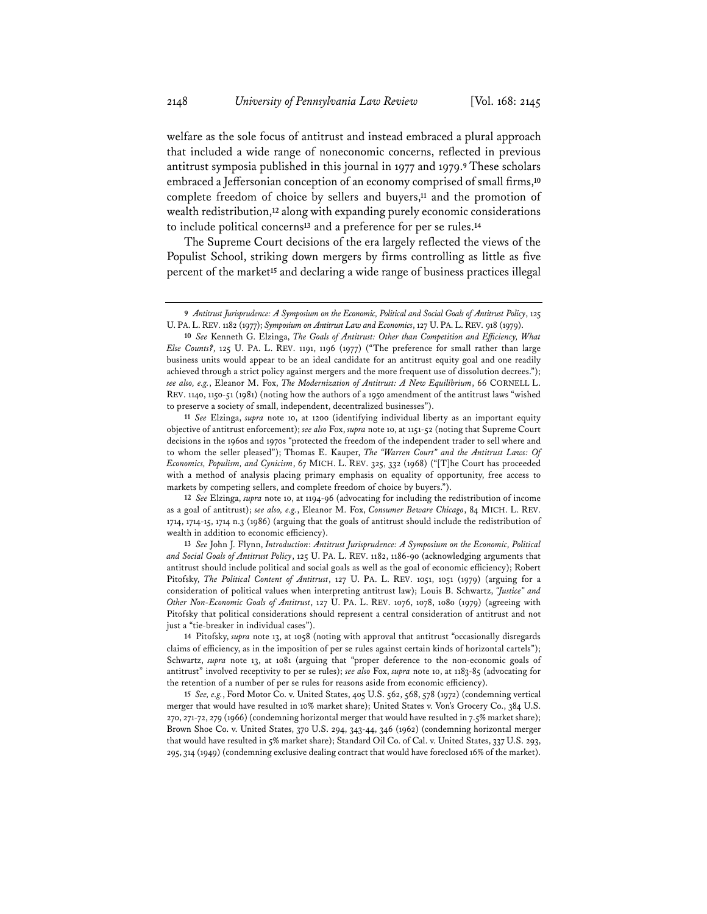welfare as the sole focus of antitrust and instead embraced a plural approach that included a wide range of noneconomic concerns, reflected in previous antitrust symposia published in this journal in 1977 and 1979.**<sup>9</sup>** These scholars embraced a Jeffersonian conception of an economy comprised of small firms,**<sup>10</sup>** complete freedom of choice by sellers and buyers,**<sup>11</sup>** and the promotion of wealth redistribution,**<sup>12</sup>** along with expanding purely economic considerations to include political concerns**<sup>13</sup>** and a preference for per se rules.**<sup>14</sup>**

The Supreme Court decisions of the era largely reflected the views of the Populist School, striking down mergers by firms controlling as little as five percent of the market**<sup>15</sup>** and declaring a wide range of business practices illegal

**11** *See* Elzinga, *supra* note 10, at 1200 (identifying individual liberty as an important equity objective of antitrust enforcement); *see also* Fox, *supra* note 10, at 1151-52 (noting that Supreme Court decisions in the 1960s and 1970s "protected the freedom of the independent trader to sell where and to whom the seller pleased"); Thomas E. Kauper, *The "Warren Court" and the Antitrust Laws: Of Economics, Populism, and Cynicism*, 67 MICH. L. REV. 325, 332 (1968) ("[T]he Court has proceeded with a method of analysis placing primary emphasis on equality of opportunity, free access to markets by competing sellers, and complete freedom of choice by buyers.").

**12** *See* Elzinga, *supra* note 10, at 1194-96 (advocating for including the redistribution of income as a goal of antitrust); *see also, e.g.*, Eleanor M. Fox, *Consumer Beware Chicago*, 84 MICH. L. REV. 1714, 1714-15, 1714 n.3 (1986) (arguing that the goals of antitrust should include the redistribution of wealth in addition to economic efficiency).

**13** *See* John J. Flynn, *Introduction*: *Antitrust Jurisprudence: A Symposium on the Economic, Political and Social Goals of Antitrust Policy*, 125 U. PA. L. REV. 1182, 1186-90 (acknowledging arguments that antitrust should include political and social goals as well as the goal of economic efficiency); Robert Pitofsky, *The Political Content of Antitrust*, 127 U. PA. L. REV. 1051, 1051 (1979) (arguing for a consideration of political values when interpreting antitrust law); Louis B. Schwartz, *"Justice" and Other Non-Economic Goals of Antitrust*, 127 U. PA. L. REV. 1076, 1078, 1080 (1979) (agreeing with Pitofsky that political considerations should represent a central consideration of antitrust and not just a "tie-breaker in individual cases").

**14** Pitofsky, *supra* note 13, at 1058 (noting with approval that antitrust "occasionally disregards claims of efficiency, as in the imposition of per se rules against certain kinds of horizontal cartels"); Schwartz, *supra* note 13, at 1081 (arguing that "proper deference to the non-economic goals of antitrust" involved receptivity to per se rules); *see also* Fox, *supra* note 10, at 1183-85 (advocating for the retention of a number of per se rules for reasons aside from economic efficiency).

**15** *See, e.g.*, Ford Motor Co. v. United States, 405 U.S. 562, 568, 578 (1972) (condemning vertical merger that would have resulted in 10% market share); United States v. Von's Grocery Co., 384 U.S. 270, 271-72, 279 (1966) (condemning horizontal merger that would have resulted in 7.5% market share); Brown Shoe Co. v. United States, 370 U.S. 294, 343-44, 346 (1962) (condemning horizontal merger that would have resulted in 5% market share); Standard Oil Co. of Cal. v. United States, 337 U.S. 293, 295, 314 (1949) (condemning exclusive dealing contract that would have foreclosed 16% of the market).

**<sup>9</sup>** *Antitrust Jurisprudence: A Symposium on the Economic, Political and Social Goals of Antitrust Policy*, 125 U. PA. L.REV. 1182 (1977); *Symposium on Antitrust Law and Economics*, 127 U. PA. L.REV. 918 (1979).

**<sup>10</sup>** *See* Kenneth G. Elzinga, *The Goals of Antitrust: Other than Competition and Efficiency, What Else Counts?*, 125 U. PA. L. REV. 1191, 1196 (1977) ("The preference for small rather than large business units would appear to be an ideal candidate for an antitrust equity goal and one readily achieved through a strict policy against mergers and the more frequent use of dissolution decrees."); *see also, e.g.*, Eleanor M. Fox, *The Modernization of Antitrust: A New Equilibrium*, 66 CORNELL L. REV. 1140, 1150-51 (1981) (noting how the authors of a 1950 amendment of the antitrust laws "wished to preserve a society of small, independent, decentralized businesses").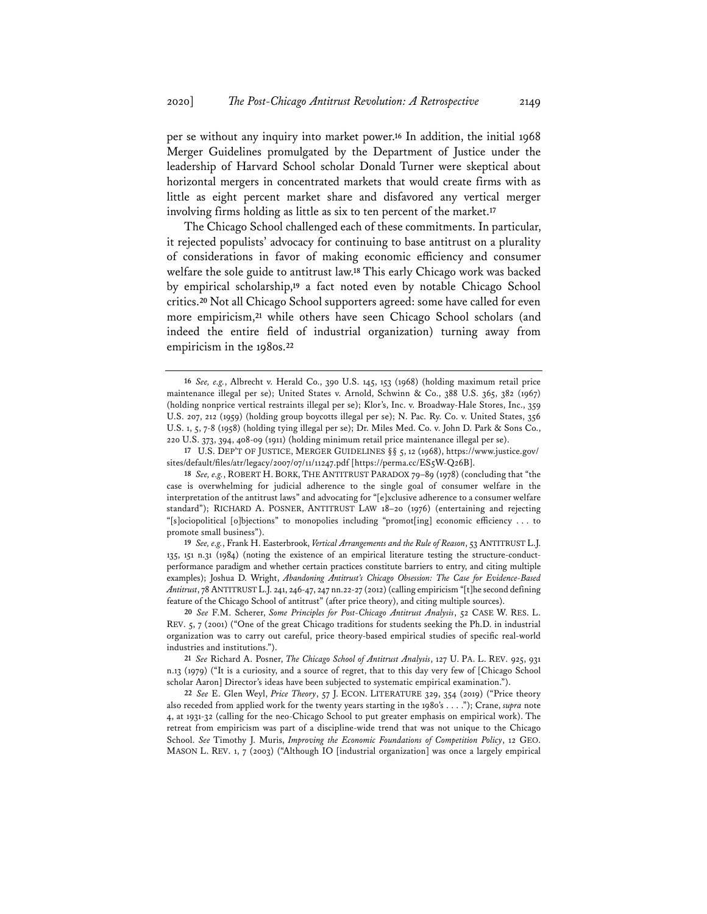per se without any inquiry into market power.**<sup>16</sup>** In addition, the initial 1968 Merger Guidelines promulgated by the Department of Justice under the leadership of Harvard School scholar Donald Turner were skeptical about horizontal mergers in concentrated markets that would create firms with as little as eight percent market share and disfavored any vertical merger involving firms holding as little as six to ten percent of the market.**<sup>17</sup>**

The Chicago School challenged each of these commitments. In particular, it rejected populists' advocacy for continuing to base antitrust on a plurality of considerations in favor of making economic efficiency and consumer welfare the sole guide to antitrust law.**<sup>18</sup>** This early Chicago work was backed by empirical scholarship,**<sup>19</sup>** a fact noted even by notable Chicago School critics.**<sup>20</sup>** Not all Chicago School supporters agreed: some have called for even more empiricism,**<sup>21</sup>** while others have seen Chicago School scholars (and indeed the entire field of industrial organization) turning away from empiricism in the 1980s.**<sup>22</sup>**

**<sup>16</sup>** *See, e.g.*, Albrecht v. Herald Co., 390 U.S. 145, 153 (1968) (holding maximum retail price maintenance illegal per se); United States v. Arnold, Schwinn & Co., 388 U.S. 365, 382 (1967) (holding nonprice vertical restraints illegal per se); Klor's, Inc. v. Broadway-Hale Stores, Inc., 359 U.S. 207, 212 (1959) (holding group boycotts illegal per se); N. Pac. Ry. Co. v. United States, 356 U.S. 1, 5, 7-8 (1958) (holding tying illegal per se); Dr. Miles Med. Co. v. John D. Park & Sons Co., 220 U.S. 373, 394, 408-09 (1911) (holding minimum retail price maintenance illegal per se).

**<sup>17</sup>** U.S. DEP'T OF JUSTICE, MERGER GUIDELINES §§ 5, 12 (1968), https://www.justice.gov/ sites/default/files/atr/legacy/2007/07/11/11247.pdf [https://perma.cc/ES5W-Q26B].

**<sup>18</sup>** *See, e.g.*, ROBERT H. BORK, THE ANTITRUST PARADOX 79–89 (1978) (concluding that "the case is overwhelming for judicial adherence to the single goal of consumer welfare in the interpretation of the antitrust laws" and advocating for "[e]xclusive adherence to a consumer welfare standard"); RICHARD A. POSNER, ANTITRUST LAW 18–20 (1976) (entertaining and rejecting "[s]ociopolitical [o]bjections" to monopolies including "promot[ing] economic efficiency . . . to promote small business").

**<sup>19</sup>** *See, e.g.*, Frank H. Easterbrook, *Vertical Arrangements and the Rule of Reason*, 53 ANTITRUST L.J. 135, 151 n.31 (1984) (noting the existence of an empirical literature testing the structure-conductperformance paradigm and whether certain practices constitute barriers to entry, and citing multiple examples); Joshua D. Wright, *Abandoning Antitrust's Chicago Obsession: The Case for Evidence-Based Antitrust*, 78 ANTITRUST L.J. 241, 246-47, 247 nn.22-27 (2012) (calling empiricism "[t]he second defining feature of the Chicago School of antitrust" (after price theory), and citing multiple sources).

**<sup>20</sup>** *See* F.M. Scherer, *Some Principles for Post-Chicago Antitrust Analysis*, 52 CASE W. RES. L. REV. 5, 7 (2001) ("One of the great Chicago traditions for students seeking the Ph.D. in industrial organization was to carry out careful, price theory-based empirical studies of specific real-world industries and institutions.").

**<sup>21</sup>** *See* Richard A. Posner, *The Chicago School of Antitrust Analysis*, 127 U. PA. L. REV. 925, 931 n.13 (1979) ("It is a curiosity, and a source of regret, that to this day very few of [Chicago School scholar Aaron] Director's ideas have been subjected to systematic empirical examination.").

**<sup>22</sup>** *See* E. Glen Weyl, *Price Theory*, 57 J. ECON. LITERATURE 329, 354 (2019) ("Price theory also receded from applied work for the twenty years starting in the 1980's . . . ."); Crane, *supra* note 4, at 1931-32 (calling for the neo-Chicago School to put greater emphasis on empirical work). The retreat from empiricism was part of a discipline-wide trend that was not unique to the Chicago School. *See* Timothy J. Muris, *Improving the Economic Foundations of Competition Policy*, 12 GEO. MASON L. REV. 1, 7 (2003) ("Although IO [industrial organization] was once a largely empirical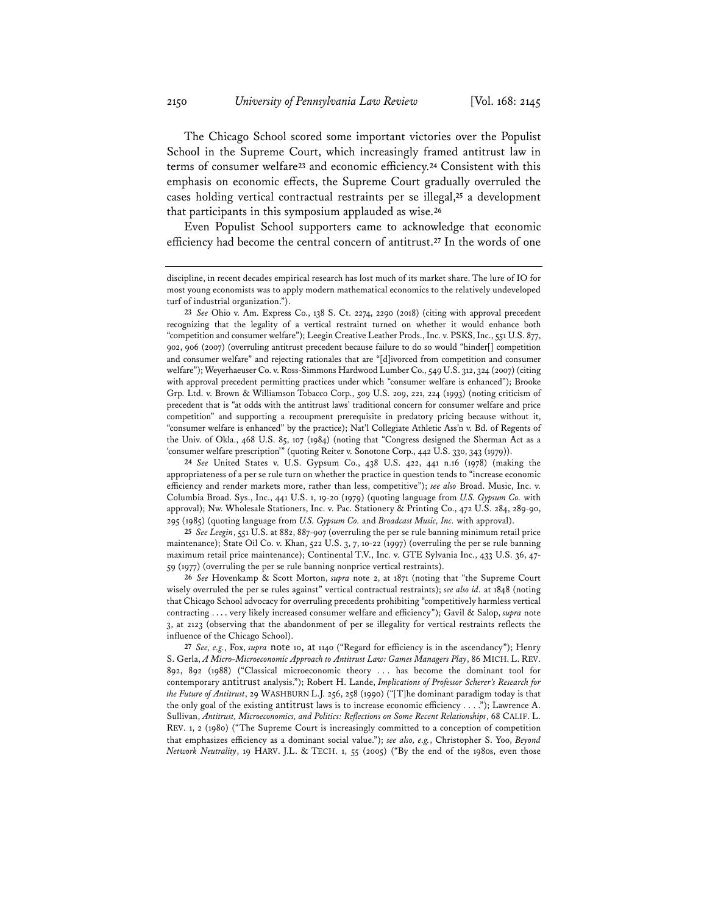The Chicago School scored some important victories over the Populist School in the Supreme Court, which increasingly framed antitrust law in terms of consumer welfare**<sup>23</sup>** and economic efficiency.**<sup>24</sup>** Consistent with this emphasis on economic effects, the Supreme Court gradually overruled the cases holding vertical contractual restraints per se illegal,**<sup>25</sup>** a development that participants in this symposium applauded as wise.**<sup>26</sup>**

Even Populist School supporters came to acknowledge that economic efficiency had become the central concern of antitrust.**<sup>27</sup>** In the words of one

**24** *See* United States v. U.S. Gypsum Co., 438 U.S. 422, 441 n.16 (1978) (making the appropriateness of a per se rule turn on whether the practice in question tends to "increase economic efficiency and render markets more, rather than less, competitive"); *see also* Broad. Music, Inc. v. Columbia Broad. Sys., Inc., 441 U.S. 1, 19-20 (1979) (quoting language from *U.S. Gypsum Co.* with approval); Nw. Wholesale Stationers, Inc. v. Pac. Stationery & Printing Co., 472 U.S. 284, 289-90, 295 (1985) (quoting language from *U.S. Gypsum Co.* and *Broadcast Music, Inc.* with approval).

**25** *See Leegin*, 551 U.S. at 882, 887-907 (overruling the per se rule banning minimum retail price maintenance); State Oil Co. v. Khan, 522 U.S. 3, 7, 10-22 (1997) (overruling the per se rule banning maximum retail price maintenance); Continental T.V., Inc. v. GTE Sylvania Inc., 433 U.S. 36, 47- 59 (1977) (overruling the per se rule banning nonprice vertical restraints).

**26** *See* Hovenkamp & Scott Morton, *supra* note 2, at 1871 (noting that "the Supreme Court wisely overruled the per se rules against" vertical contractual restraints); *see also id.* at 1848 (noting that Chicago School advocacy for overruling precedents prohibiting "competitively harmless vertical contracting . . . . very likely increased consumer welfare and efficiency"); Gavil & Salop, *supra* note 3, at 2123 (observing that the abandonment of per se illegality for vertical restraints reflects the influence of the Chicago School).

**<sup>27</sup>** *See, e.g.*, Fox, *supra* note 10, at 1140 ("Regard for efficiency is in the ascendancy"); Henry S. Gerla, *A Micro-Microeconomic Approach to Antitrust Law: Games Managers Play*, 86 MICH. L. REV. 892, 892 (1988) ("Classical microeconomic theory . . . has become the dominant tool for contemporary antitrust analysis."); Robert H. Lande, *Implications of Professor Scherer's Research for the Future of Antitrust*, 29 WASHBURN L.J. 256, 258 (1990) ("[T]he dominant paradigm today is that the only goal of the existing antitrust laws is to increase economic efficiency . . . ."); Lawrence A. Sullivan, *Antitrust, Microeconomics, and Politics: Reflections on Some Recent Relationships*, 68 CALIF. L. REV. 1, 2 (1980) ("The Supreme Court is increasingly committed to a conception of competition that emphasizes efficiency as a dominant social value."); *see also, e.g.*, Christopher S. Yoo, *Beyond Network Neutrality*, 19 HARV. J.L. & TECH. 1, 55 (2005) ("By the end of the 1980s, even those

discipline, in recent decades empirical research has lost much of its market share. The lure of IO for most young economists was to apply modern mathematical economics to the relatively undeveloped turf of industrial organization.").

**<sup>23</sup>** *See* Ohio v. Am. Express Co., 138 S. Ct. 2274, 2290 (2018) (citing with approval precedent recognizing that the legality of a vertical restraint turned on whether it would enhance both "competition and consumer welfare"); Leegin Creative Leather Prods., Inc. v. PSKS, Inc., 551 U.S. 877, 902, 906 (2007) (overruling antitrust precedent because failure to do so would "hinder[] competition and consumer welfare" and rejecting rationales that are "[d]ivorced from competition and consumer welfare"); Weyerhaeuser Co. v. Ross-Simmons Hardwood Lumber Co., 549 U.S. 312, 324 (2007) (citing with approval precedent permitting practices under which "consumer welfare is enhanced"); Brooke Grp. Ltd. v. Brown & Williamson Tobacco Corp., 509 U.S. 209, 221, 224 (1993) (noting criticism of precedent that is "at odds with the antitrust laws' traditional concern for consumer welfare and price competition" and supporting a recoupment prerequisite in predatory pricing because without it, "consumer welfare is enhanced" by the practice); Nat'l Collegiate Athletic Ass'n v. Bd. of Regents of the Univ. of Okla., 468 U.S. 85, 107 (1984) (noting that "Congress designed the Sherman Act as a 'consumer welfare prescription'" (quoting Reiter v. Sonotone Corp., 442 U.S. 330, 343 (1979)).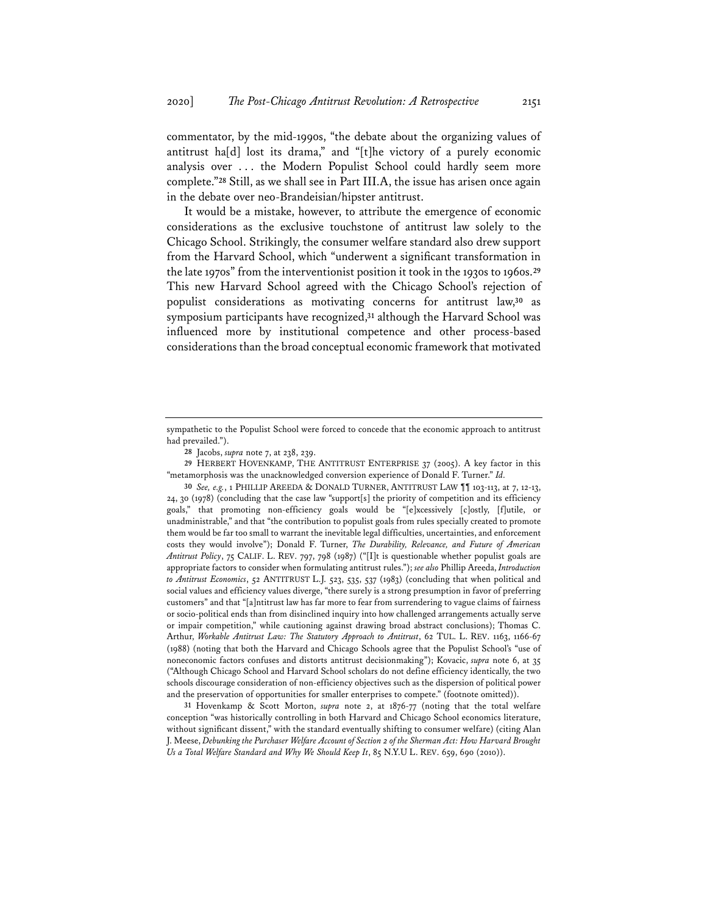commentator, by the mid-1990s, "the debate about the organizing values of antitrust ha[d] lost its drama," and "[t]he victory of a purely economic analysis over . . . the Modern Populist School could hardly seem more complete."**<sup>28</sup>** Still, as we shall see in Part III.A, the issue has arisen once again in the debate over neo-Brandeisian/hipster antitrust.

It would be a mistake, however, to attribute the emergence of economic considerations as the exclusive touchstone of antitrust law solely to the Chicago School. Strikingly, the consumer welfare standard also drew support from the Harvard School, which "underwent a significant transformation in the late 1970s" from the interventionist position it took in the 1930s to 1960s.**<sup>29</sup>** This new Harvard School agreed with the Chicago School's rejection of populist considerations as motivating concerns for antitrust law,**<sup>30</sup>** as symposium participants have recognized,**<sup>31</sup>** although the Harvard School was influenced more by institutional competence and other process-based considerations than the broad conceptual economic framework that motivated

**29** HERBERT HOVENKAMP, THE ANTITRUST ENTERPRISE 37 (2005). A key factor in this "metamorphosis was the unacknowledged conversion experience of Donald F. Turner." *Id.*

**30** *See, e.g.*, 1 PHILLIP AREEDA & DONALD TURNER, ANTITRUST LAW ¶¶ 103-113, at 7, 12-13, 24, 30 (1978) (concluding that the case law "support[s] the priority of competition and its efficiency goals," that promoting non-efficiency goals would be "[e]xcessively [c]ostly, [f]utile, or unadministrable," and that "the contribution to populist goals from rules specially created to promote them would be far too small to warrant the inevitable legal difficulties, uncertainties, and enforcement costs they would involve"); Donald F. Turner, *The Durability, Relevance, and Future of American Antitrust Policy*, 75 CALIF. L. REV. 797, 798 (1987) ("[I]t is questionable whether populist goals are appropriate factors to consider when formulating antitrust rules."); *see also* Phillip Areeda, *Introduction to Antitrust Economics*, 52 ANTITRUST L.J. 523, 535, 537 (1983) (concluding that when political and social values and efficiency values diverge, "there surely is a strong presumption in favor of preferring customers" and that "[a]ntitrust law has far more to fear from surrendering to vague claims of fairness or socio-political ends than from disinclined inquiry into how challenged arrangements actually serve or impair competition," while cautioning against drawing broad abstract conclusions); Thomas C. Arthur, *Workable Antitrust Law: The Statutory Approach to Antitrust*, 62 TUL. L. REV. 1163, 1166-67 (1988) (noting that both the Harvard and Chicago Schools agree that the Populist School's "use of noneconomic factors confuses and distorts antitrust decisionmaking"); Kovacic, *supra* note 6, at 35 ("Although Chicago School and Harvard School scholars do not define efficiency identically, the two schools discourage consideration of non-efficiency objectives such as the dispersion of political power and the preservation of opportunities for smaller enterprises to compete." (footnote omitted)).

**31** Hovenkamp & Scott Morton, *supra* note 2, at 1876-77 (noting that the total welfare conception "was historically controlling in both Harvard and Chicago School economics literature, without significant dissent," with the standard eventually shifting to consumer welfare) (citing Alan J. Meese, *Debunking the Purchaser Welfare Account of Section 2 of the Sherman Act: How Harvard Brought Us a Total Welfare Standard and Why We Should Keep It*, 85 N.Y.U L. REV. 659, 690 (2010)).

sympathetic to the Populist School were forced to concede that the economic approach to antitrust had prevailed.").

**<sup>28</sup>** Jacobs, *supra* note 7, at 238, 239.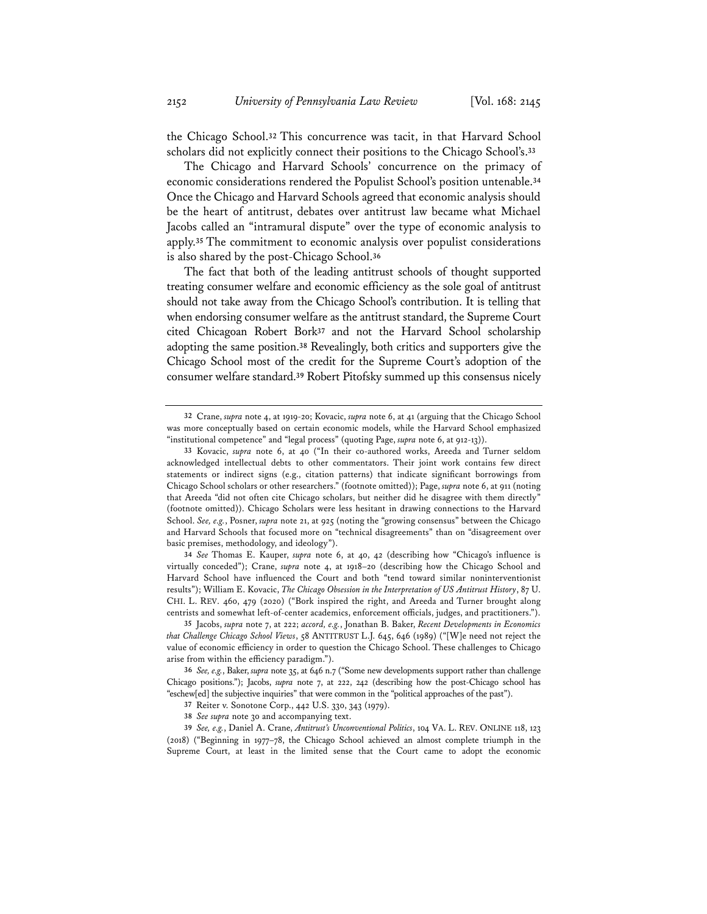the Chicago School.**<sup>32</sup>** This concurrence was tacit, in that Harvard School scholars did not explicitly connect their positions to the Chicago School's.**<sup>33</sup>**

The Chicago and Harvard Schools' concurrence on the primacy of economic considerations rendered the Populist School's position untenable.**<sup>34</sup>** Once the Chicago and Harvard Schools agreed that economic analysis should be the heart of antitrust, debates over antitrust law became what Michael Jacobs called an "intramural dispute" over the type of economic analysis to apply.**<sup>35</sup>** The commitment to economic analysis over populist considerations is also shared by the post-Chicago School.**<sup>36</sup>**

The fact that both of the leading antitrust schools of thought supported treating consumer welfare and economic efficiency as the sole goal of antitrust should not take away from the Chicago School's contribution. It is telling that when endorsing consumer welfare as the antitrust standard, the Supreme Court cited Chicagoan Robert Bork**<sup>37</sup>** and not the Harvard School scholarship adopting the same position.**<sup>38</sup>** Revealingly, both critics and supporters give the Chicago School most of the credit for the Supreme Court's adoption of the consumer welfare standard.**<sup>39</sup>** Robert Pitofsky summed up this consensus nicely

**34** *See* Thomas E. Kauper, *supra* note 6, at 40, 42 (describing how "Chicago's influence is virtually conceded"); Crane, *supra* note 4, at 1918–20 (describing how the Chicago School and Harvard School have influenced the Court and both "tend toward similar noninterventionist results"); William E. Kovacic, *The Chicago Obsession in the Interpretation of US Antitrust History*, 87 U. CHI. L. REV. 460, 479 (2020) ("Bork inspired the right, and Areeda and Turner brought along centrists and somewhat left-of-center academics, enforcement officials, judges, and practitioners.").

**<sup>32</sup>** Crane, *supra* note 4, at 1919-20; Kovacic, *supra* note 6, at 41 (arguing that the Chicago School was more conceptually based on certain economic models, while the Harvard School emphasized "institutional competence" and "legal process" (quoting Page, *supra* note 6, at 912-13)).

**<sup>33</sup>** Kovacic, *supra* note 6, at 40 ("In their co-authored works, Areeda and Turner seldom acknowledged intellectual debts to other commentators. Their joint work contains few direct statements or indirect signs (e.g., citation patterns) that indicate significant borrowings from Chicago School scholars or other researchers." (footnote omitted)); Page, *supra* note 6, at 911 (noting that Areeda "did not often cite Chicago scholars, but neither did he disagree with them directly" (footnote omitted)). Chicago Scholars were less hesitant in drawing connections to the Harvard School. *See, e.g.*, Posner, *supra* note 21, at 925 (noting the "growing consensus" between the Chicago and Harvard Schools that focused more on "technical disagreements" than on "disagreement over basic premises, methodology, and ideology").

**<sup>35</sup>** Jacobs, *supra* note 7, at 222; *accord, e.g.*, Jonathan B. Baker, *Recent Developments in Economics that Challenge Chicago School Views*, 58 ANTITRUST L.J. 645, 646 (1989) ("[W]e need not reject the value of economic efficiency in order to question the Chicago School. These challenges to Chicago arise from within the efficiency paradigm.").

**<sup>36</sup>** *See, e.g.*, Baker, *supra* note 35, at 646 n.7 ("Some new developments support rather than challenge Chicago positions."); Jacobs, *supra* note 7, at 222, 242 (describing how the post-Chicago school has "eschew[ed] the subjective inquiries" that were common in the "political approaches of the past").

**<sup>37</sup>** Reiter v. Sonotone Corp., 442 U.S. 330, 343 (1979).

**<sup>38</sup>** *See supra* note 30 and accompanying text.

**<sup>39</sup>** *See, e.g.*, Daniel A. Crane, *Antitrust's Unconventional Politics*, 104 VA. L. REV. ONLINE 118, 123 (2018) ("Beginning in 1977–78, the Chicago School achieved an almost complete triumph in the Supreme Court, at least in the limited sense that the Court came to adopt the economic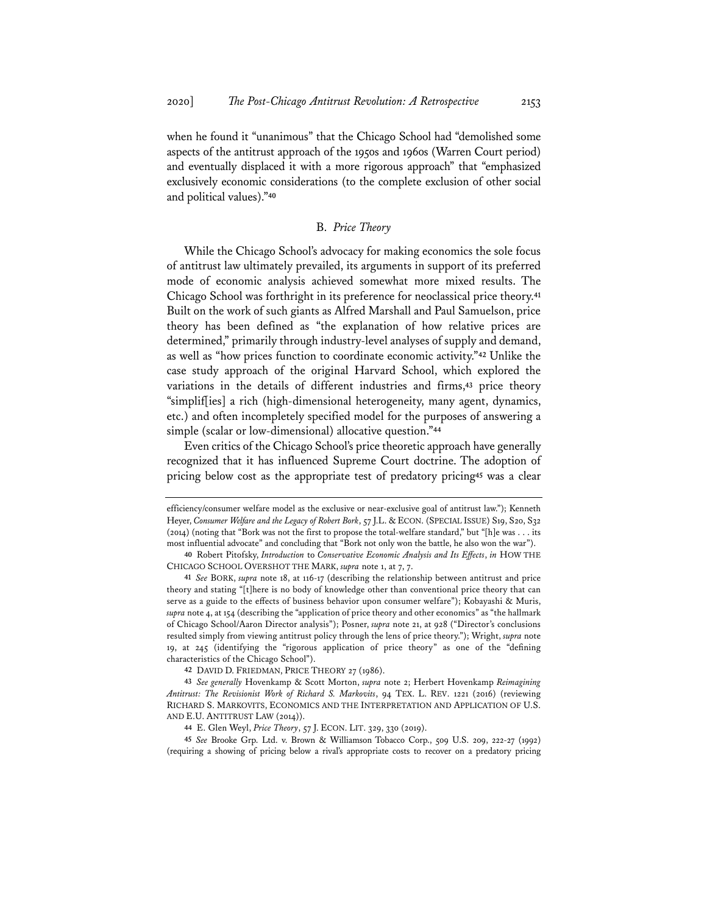when he found it "unanimous" that the Chicago School had "demolished some aspects of the antitrust approach of the 1950s and 1960s (Warren Court period) and eventually displaced it with a more rigorous approach" that "emphasized exclusively economic considerations (to the complete exclusion of other social and political values)."**<sup>40</sup>**

# B. *Price Theory*

While the Chicago School's advocacy for making economics the sole focus of antitrust law ultimately prevailed, its arguments in support of its preferred mode of economic analysis achieved somewhat more mixed results. The Chicago School was forthright in its preference for neoclassical price theory.**<sup>41</sup>** Built on the work of such giants as Alfred Marshall and Paul Samuelson, price theory has been defined as "the explanation of how relative prices are determined," primarily through industry-level analyses of supply and demand, as well as "how prices function to coordinate economic activity."**<sup>42</sup>** Unlike the case study approach of the original Harvard School, which explored the variations in the details of different industries and firms,**<sup>43</sup>** price theory "simplif[ies] a rich (high-dimensional heterogeneity, many agent, dynamics, etc.) and often incompletely specified model for the purposes of answering a simple (scalar or low-dimensional) allocative question."**<sup>44</sup>**

Even critics of the Chicago School's price theoretic approach have generally recognized that it has influenced Supreme Court doctrine. The adoption of pricing below cost as the appropriate test of predatory pricing**<sup>45</sup>** was a clear

**42** DAVID D. FRIEDMAN, PRICE THEORY 27 (1986).

**45** *See* Brooke Grp. Ltd. v. Brown & Williamson Tobacco Corp., 509 U.S. 209, 222-27 (1992) (requiring a showing of pricing below a rival's appropriate costs to recover on a predatory pricing

efficiency/consumer welfare model as the exclusive or near-exclusive goal of antitrust law."); Kenneth Heyer, *Consumer Welfare and the Legacy of Robert Bork*, 57 J.L. & ECON. (SPECIAL ISSUE) S19, S20, S32 (2014) (noting that "Bork was not the first to propose the total-welfare standard," but "[h]e was . . . its most influential advocate" and concluding that "Bork not only won the battle, he also won the war").

**<sup>40</sup>** Robert Pitofsky, *Introduction* to *Conservative Economic Analysis and Its Effects*, *in* HOW THE CHICAGO SCHOOL OVERSHOT THE MARK, *supra* note 1, at 7, 7.

**<sup>41</sup>** *See* BORK, *supra* note 18, at 116-17 (describing the relationship between antitrust and price theory and stating "[t]here is no body of knowledge other than conventional price theory that can serve as a guide to the effects of business behavior upon consumer welfare"); Kobayashi & Muris, *supra* note 4, at 154 (describing the "application of price theory and other economics" as "the hallmark of Chicago School/Aaron Director analysis"); Posner, *supra* note 21, at 928 ("Director's conclusions resulted simply from viewing antitrust policy through the lens of price theory."); Wright, *supra* note 19, at 245 (identifying the "rigorous application of price theory" as one of the "defining characteristics of the Chicago School").

**<sup>43</sup>** *See generally* Hovenkamp & Scott Morton, *supra* note 2; Herbert Hovenkamp *Reimagining Antitrust: The Revisionist Work of Richard S. Markovits*, 94 TEX. L. REV. 1221 (2016) (reviewing RICHARD S. MARKOVITS, ECONOMICS AND THE INTERPRETATION AND APPLICATION OF U.S. AND E.U. ANTITRUST LAW (2014)).

**<sup>44</sup>** E. Glen Weyl, *Price Theory*, 57 J. ECON. LIT. 329, 330 (2019).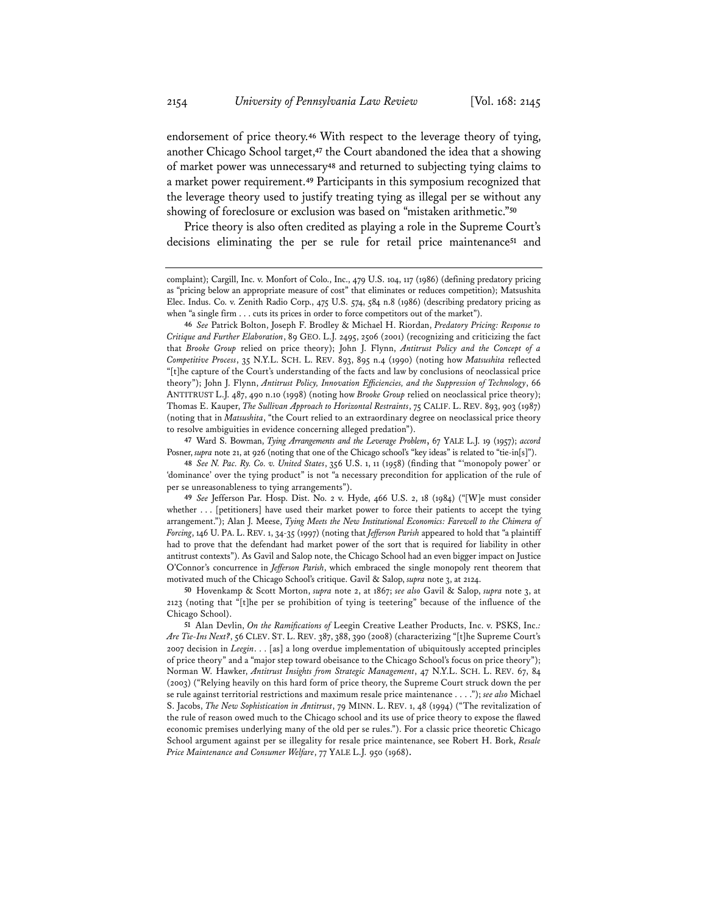endorsement of price theory.**<sup>46</sup>** With respect to the leverage theory of tying, another Chicago School target,**<sup>47</sup>** the Court abandoned the idea that a showing of market power was unnecessary**<sup>48</sup>** and returned to subjecting tying claims to a market power requirement.**<sup>49</sup>** Participants in this symposium recognized that the leverage theory used to justify treating tying as illegal per se without any showing of foreclosure or exclusion was based on "mistaken arithmetic."**<sup>50</sup>**

Price theory is also often credited as playing a role in the Supreme Court's decisions eliminating the per se rule for retail price maintenance**<sup>51</sup>** and

**<sup>47</sup>** Ward S. Bowman, *Tying Arrangements and the Leverage Problem*, 67 YALE L.J. 19 (1957); *accord* Posner, *supra* note 21, at 926 (noting that one of the Chicago school's "key ideas" is related to "tie-in[s]").

**48** *See N. Pac. Ry. Co. v. United States*, 356 U.S. 1, 11 (1958) (finding that "'monopoly power' or 'dominance' over the tying product" is not "a necessary precondition for application of the rule of per se unreasonableness to tying arrangements").

**49** *See* Jefferson Par. Hosp. Dist. No. 2 v. Hyde, 466 U.S. 2, 18 (1984) ("[W]e must consider whether . . . [petitioners] have used their market power to force their patients to accept the tying arrangement."); Alan J. Meese, *Tying Meets the New Institutional Economics: Farewell to the Chimera of Forcing*, 146 U. PA. L. REV. 1, 34-35 (1997) (noting that *Jefferson Parish* appeared to hold that "a plaintiff had to prove that the defendant had market power of the sort that is required for liability in other antitrust contexts"). As Gavil and Salop note, the Chicago School had an even bigger impact on Justice O'Connor's concurrence in *Jefferson Parish*, which embraced the single monopoly rent theorem that motivated much of the Chicago School's critique. Gavil & Salop, *supra* note 3, at 2124.

**50** Hovenkamp & Scott Morton, *supra* note 2, at 1867; *see also* Gavil & Salop, *supra* note 3, at 2123 (noting that "[t]he per se prohibition of tying is teetering" because of the influence of the Chicago School).

complaint); Cargill, Inc. v. Monfort of Colo., Inc., 479 U.S. 104, 117 (1986) (defining predatory pricing as "pricing below an appropriate measure of cost" that eliminates or reduces competition); Matsushita Elec. Indus. Co. v. Zenith Radio Corp., 475 U.S. 574, 584 n.8 (1986) (describing predatory pricing as when "a single firm . . . cuts its prices in order to force competitors out of the market").

**<sup>46</sup>** *See* Patrick Bolton, Joseph F. Brodley & Michael H. Riordan, *Predatory Pricing: Response to Critique and Further Elaboration*, 89 GEO. L.J. 2495, 2506 (2001) (recognizing and criticizing the fact that *Brooke Group* relied on price theory); John J. Flynn, *Antitrust Policy and the Concept of a Competitive Process*, 35 N.Y.L. SCH. L. REV. 893, 895 n.4 (1990) (noting how *Matsushita* reflected "[t]he capture of the Court's understanding of the facts and law by conclusions of neoclassical price theory"); John J. Flynn, *Antitrust Policy, Innovation Efficiencies, and the Suppression of Technology*, 66 ANTITRUST L.J. 487, 490 n.10 (1998) (noting how *Brooke Group* relied on neoclassical price theory); Thomas E. Kauper, *The Sullivan Approach to Horizontal Restraints*, 75 CALIF. L. REV. 893, 903 (1987) (noting that in *Matsushita*, "the Court relied to an extraordinary degree on neoclassical price theory to resolve ambiguities in evidence concerning alleged predation").

**<sup>51</sup>** Alan Devlin, *On the Ramifications of* Leegin Creative Leather Products, Inc. v. PSKS, Inc.*: Are Tie-Ins Next?*, 56 CLEV. ST. L. REV. 387, 388, 390 (2008) (characterizing "[t]he Supreme Court's 2007 decision in *Leegin*. . . [as] a long overdue implementation of ubiquitously accepted principles of price theory" and a "major step toward obeisance to the Chicago School's focus on price theory"); Norman W. Hawker, *Antitrust Insights from Strategic Management*, 47 N.Y.L. SCH. L. REV. 67, 84 (2003) ("Relying heavily on this hard form of price theory, the Supreme Court struck down the per se rule against territorial restrictions and maximum resale price maintenance . . . ."); *see also* Michael S. Jacobs, *The New Sophistication in Antitrust*, 79 MINN. L. REV. 1, 48 (1994) ("The revitalization of the rule of reason owed much to the Chicago school and its use of price theory to expose the flawed economic premises underlying many of the old per se rules."). For a classic price theoretic Chicago School argument against per se illegality for resale price maintenance, see Robert H. Bork, *Resale Price Maintenance and Consumer Welfare*, 77 YALE L.J. 950 (1968).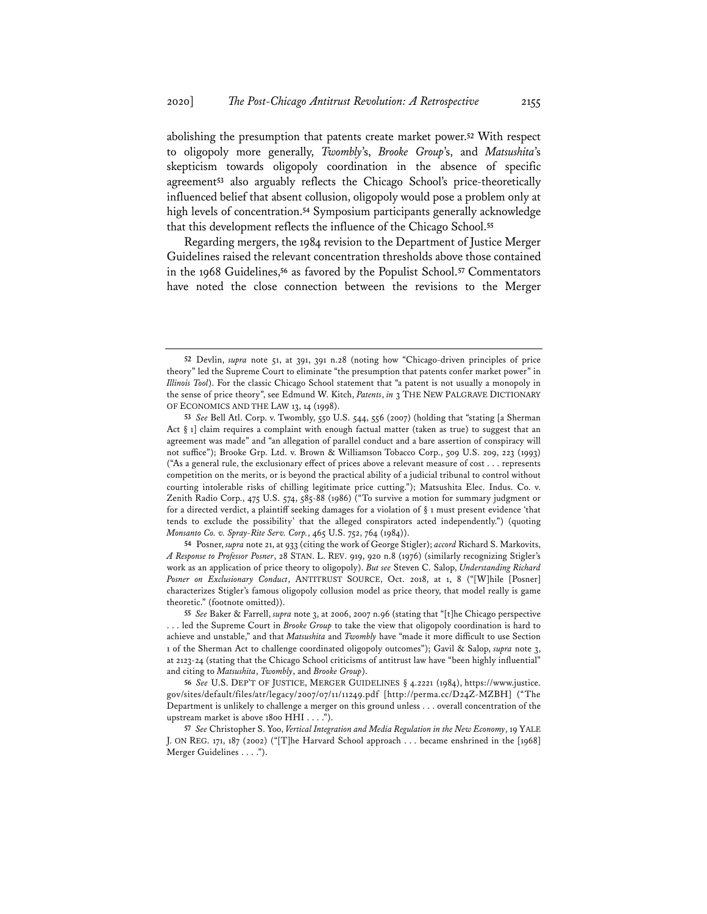abolishing the presumption that patents create market power.**<sup>52</sup>** With respect to oligopoly more generally, *Twombly*'s, *Brooke Group*'s, and *Matsushita*'s skepticism towards oligopoly coordination in the absence of specific agreement**<sup>53</sup>** also arguably reflects the Chicago School's price-theoretically influenced belief that absent collusion, oligopoly would pose a problem only at high levels of concentration.**<sup>54</sup>** Symposium participants generally acknowledge that this development reflects the influence of the Chicago School.**<sup>55</sup>**

Regarding mergers, the 1984 revision to the Department of Justice Merger Guidelines raised the relevant concentration thresholds above those contained in the 1968 Guidelines,**<sup>56</sup>** as favored by the Populist School.**<sup>57</sup>** Commentators have noted the close connection between the revisions to the Merger

**54** Posner, *supra* note 21, at 933 (citing the work of George Stigler); *accord* Richard S. Markovits, *A Response to Professor Posner*, 28 STAN. L. REV. 919, 920 n.8 (1976) (similarly recognizing Stigler's work as an application of price theory to oligopoly). *But see* Steven C. Salop, *Understanding Richard Posner on Exclusionary Conduct*, ANTITRUST SOURCE, Oct. 2018, at 1, 8 ("[W]hile [Posner] characterizes Stigler's famous oligopoly collusion model as price theory, that model really is game theoretic." (footnote omitted)).

**<sup>52</sup>** Devlin, *supra* note 51, at 391, 391 n.28 (noting how "Chicago-driven principles of price theory" led the Supreme Court to eliminate "the presumption that patents confer market power" in *Illinois Tool*). For the classic Chicago School statement that "a patent is not usually a monopoly in the sense of price theory", see Edmund W. Kitch, *Patents*, *in* 3 THE NEW PALGRAVE DICTIONARY OF ECONOMICS AND THE LAW 13, 14 (1998).

**<sup>53</sup>** *See* Bell Atl. Corp. v. Twombly, 550 U.S. 544, 556 (2007) (holding that "stating [a Sherman Act  $\S$  1] claim requires a complaint with enough factual matter (taken as true) to suggest that an agreement was made" and "an allegation of parallel conduct and a bare assertion of conspiracy will not suffice"); Brooke Grp. Ltd. v. Brown & Williamson Tobacco Corp., 509 U.S. 209, 223 (1993) ("As a general rule, the exclusionary effect of prices above a relevant measure of cost . . . represents competition on the merits, or is beyond the practical ability of a judicial tribunal to control without courting intolerable risks of chilling legitimate price cutting."); Matsushita Elec. Indus. Co. v. Zenith Radio Corp., 475 U.S. 574, 585-88 (1986) ("To survive a motion for summary judgment or for a directed verdict, a plaintiff seeking damages for a violation of § 1 must present evidence 'that tends to exclude the possibility' that the alleged conspirators acted independently.") (quoting *Monsanto Co. v. Spray-Rite Serv. Corp.*, 465 U.S. 752, 764 (1984)).

**<sup>55</sup>** *See* Baker & Farrell, *supra* note 3, at 2006, 2007 n.96 (stating that "[t]he Chicago perspective . . . led the Supreme Court in *Brooke Group* to take the view that oligopoly coordination is hard to achieve and unstable," and that *Matsushita* and *Twombly* have "made it more difficult to use Section 1 of the Sherman Act to challenge coordinated oligopoly outcomes"); Gavil & Salop, *supra* note 3, at 2123-24 (stating that the Chicago School criticisms of antitrust law have "been highly influential" and citing to *Matsushita*, *Twombly*, and *Brooke Group*).

**<sup>56</sup>** *See* U.S. DEP'T OF JUSTICE, MERGER GUIDELINES § 4.2221 (1984), https://www.justice. gov/sites/default/files/atr/legacy/2007/07/11/11249.pdf [http://perma.cc/D24Z-MZBH] ("The Department is unlikely to challenge a merger on this ground unless . . . overall concentration of the upstream market is above 1800 HHI . . . .").

**<sup>57</sup>** *See* Christopher S. Yoo, *Vertical Integration and Media Regulation in the New Economy*, 19 YALE J. ON REG. 171, 187 (2002) ("[T]he Harvard School approach . . . became enshrined in the [1968] Merger Guidelines . . . .").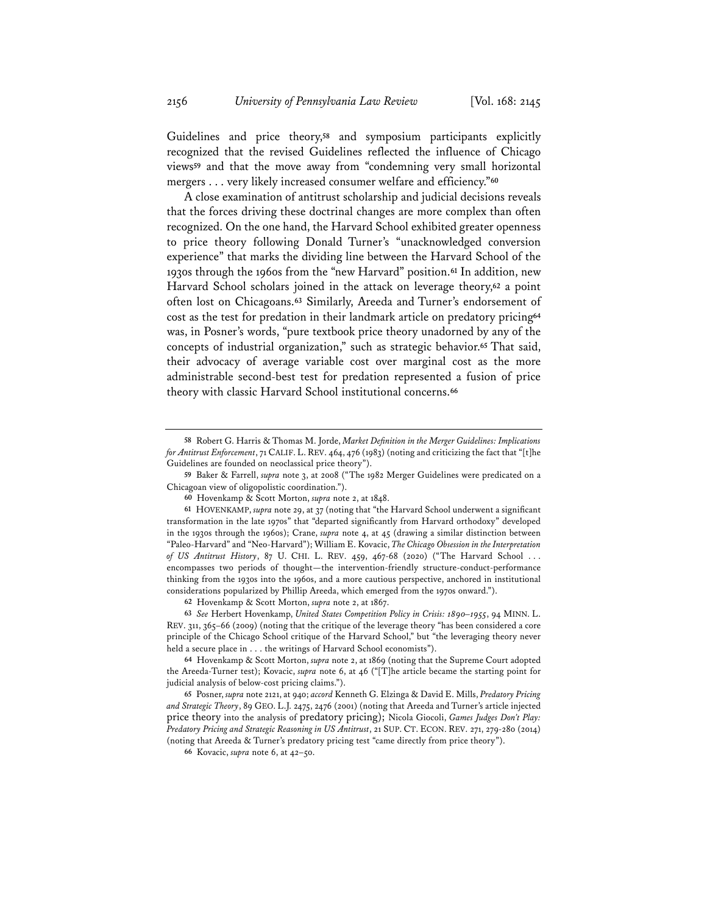Guidelines and price theory,**<sup>58</sup>** and symposium participants explicitly recognized that the revised Guidelines reflected the influence of Chicago views**<sup>59</sup>** and that the move away from "condemning very small horizontal mergers . . . very likely increased consumer welfare and efficiency."**<sup>60</sup>**

A close examination of antitrust scholarship and judicial decisions reveals that the forces driving these doctrinal changes are more complex than often recognized. On the one hand, the Harvard School exhibited greater openness to price theory following Donald Turner's "unacknowledged conversion experience" that marks the dividing line between the Harvard School of the 1930s through the 1960s from the "new Harvard" position.**<sup>61</sup>** In addition, new Harvard School scholars joined in the attack on leverage theory,**<sup>62</sup>** a point often lost on Chicagoans.**<sup>63</sup>** Similarly, Areeda and Turner's endorsement of cost as the test for predation in their landmark article on predatory pricing**<sup>64</sup>** was, in Posner's words, "pure textbook price theory unadorned by any of the concepts of industrial organization," such as strategic behavior.**<sup>65</sup>** That said, their advocacy of average variable cost over marginal cost as the more administrable second-best test for predation represented a fusion of price theory with classic Harvard School institutional concerns.**<sup>66</sup>**

**62** Hovenkamp & Scott Morton, *supra* note 2, at 1867.

**63** *See* Herbert Hovenkamp, *United States Competition Policy in Crisis: 1890–1955*, 94 MINN. L. REV. 311, 365–66 (2009) (noting that the critique of the leverage theory "has been considered a core principle of the Chicago School critique of the Harvard School," but "the leveraging theory never held a secure place in . . . the writings of Harvard School economists").

**65** Posner, *supra* note 2121, at 940; *accord* Kenneth G. Elzinga & David E. Mills, *Predatory Pricing and Strategic Theory*, 89 GEO. L.J. 2475, 2476 (2001) (noting that Areeda and Turner's article injected price theory into the analysis of predatory pricing); Nicola Giocoli, *Games Judges Don't Play: Predatory Pricing and Strategic Reasoning in US Antitrust*, 21 SUP. CT. ECON. REV. 271, 279-280 (2014) (noting that Areeda & Turner's predatory pricing test "came directly from price theory").

**66** Kovacic, *supra* note 6, at 42–50.

**<sup>58</sup>** Robert G. Harris & Thomas M. Jorde, *Market Definition in the Merger Guidelines: Implications for Antitrust Enforcement*, 71 CALIF. L. REV. 464, 476 (1983) (noting and criticizing the fact that "[t]he Guidelines are founded on neoclassical price theory").

**<sup>59</sup>** Baker & Farrell, *supra* note 3, at 2008 ("The 1982 Merger Guidelines were predicated on a Chicagoan view of oligopolistic coordination.").

**<sup>60</sup>** Hovenkamp & Scott Morton, *supra* note 2, at 1848.

**<sup>61</sup>** HOVENKAMP, *supra* note 29, at 37 (noting that "the Harvard School underwent a significant transformation in the late 1970s" that "departed significantly from Harvard orthodoxy" developed in the 1930s through the 1960s); Crane, *supra* note 4, at 45 (drawing a similar distinction between "Paleo-Harvard" and "Neo-Harvard"); William E. Kovacic, *The Chicago Obsession in the Interpretation of US Antitrust History*, 87 U. CHI. L. REV. 459, 467-68 (2020) ("The Harvard School . . . encompasses two periods of thought—the intervention-friendly structure-conduct-performance thinking from the 1930s into the 1960s, and a more cautious perspective, anchored in institutional considerations popularized by Phillip Areeda, which emerged from the 1970s onward.").

**<sup>64</sup>** Hovenkamp & Scott Morton, *supra* note 2, at 1869 (noting that the Supreme Court adopted the Areeda-Turner test); Kovacic, *supra* note 6, at 46 ("[T]he article became the starting point for judicial analysis of below-cost pricing claims.").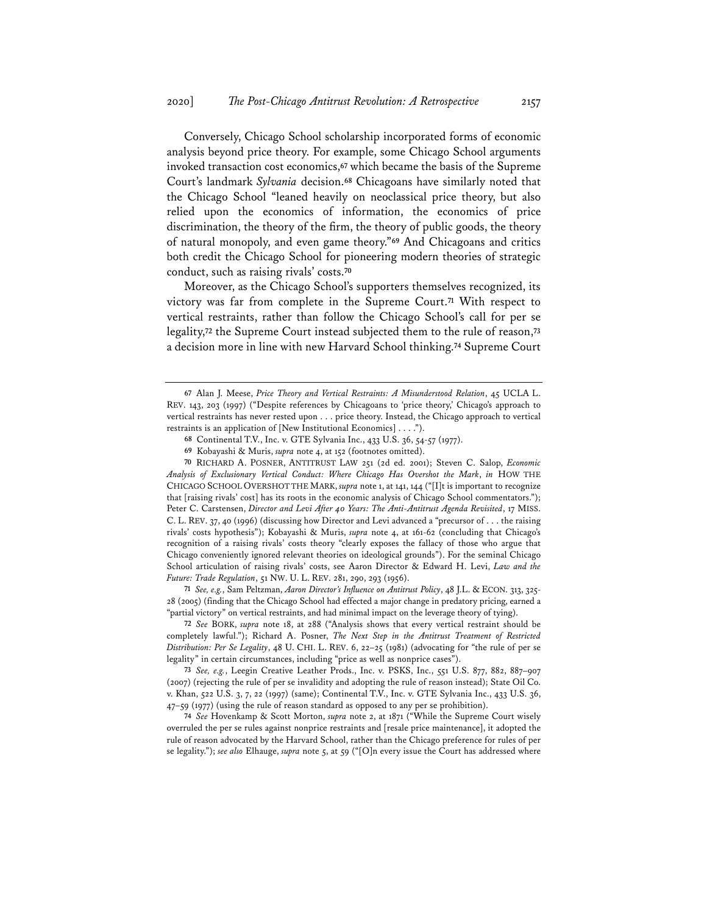Conversely, Chicago School scholarship incorporated forms of economic analysis beyond price theory. For example, some Chicago School arguments invoked transaction cost economics,**<sup>67</sup>** which became the basis of the Supreme Court's landmark *Sylvania* decision.**<sup>68</sup>** Chicagoans have similarly noted that the Chicago School "leaned heavily on neoclassical price theory, but also relied upon the economics of information, the economics of price discrimination, the theory of the firm, the theory of public goods, the theory of natural monopoly, and even game theory."**<sup>69</sup>** And Chicagoans and critics both credit the Chicago School for pioneering modern theories of strategic conduct, such as raising rivals' costs.**<sup>70</sup>**

Moreover, as the Chicago School's supporters themselves recognized, its victory was far from complete in the Supreme Court.**<sup>71</sup>** With respect to vertical restraints, rather than follow the Chicago School's call for per se legality,**<sup>72</sup>** the Supreme Court instead subjected them to the rule of reason,**<sup>73</sup>** a decision more in line with new Harvard School thinking.**<sup>74</sup>** Supreme Court

**70** RICHARD A. POSNER, ANTITRUST LAW 251 (2d ed. 2001); Steven C. Salop, *Economic Analysis of Exclusionary Vertical Conduct: Where Chicago Has Overshot the Mark*, *in* HOW THE CHICAGO SCHOOL OVERSHOT THE MARK, *supra* note 1, at 141, 144 ("[I]t is important to recognize that [raising rivals' cost] has its roots in the economic analysis of Chicago School commentators."); Peter C. Carstensen, *Director and Levi After 40 Years: The Anti-Antitrust Agenda Revisited*, 17 MISS. C. L. REV. 37, 40 (1996) (discussing how Director and Levi advanced a "precursor of . . . the raising rivals' costs hypothesis"); Kobayashi & Muris, *supra* note 4, at 161-62 (concluding that Chicago's recognition of a raising rivals' costs theory "clearly exposes the fallacy of those who argue that Chicago conveniently ignored relevant theories on ideological grounds"). For the seminal Chicago School articulation of raising rivals' costs, see Aaron Director & Edward H. Levi, *Law and the Future: Trade Regulation*, 51 NW. U. L. REV. 281, 290, 293 (1956).

**71** *See, e.g.*, Sam Peltzman, *Aaron Director's Influence on Antitrust Policy*, 48 J.L. & ECON. 313, 325- 28 (2005) (finding that the Chicago School had effected a major change in predatory pricing, earned a "partial victory" on vertical restraints, and had minimal impact on the leverage theory of tying).

**72** *See* BORK, *supra* note 18, at 288 ("Analysis shows that every vertical restraint should be completely lawful."); Richard A. Posner, *The Next Step in the Antitrust Treatment of Restricted Distribution: Per Se Legality*, 48 U. CHI. L. REV. 6, 22–25 (1981) (advocating for "the rule of per se legality" in certain circumstances, including "price as well as nonprice cases").

**73** *See, e.g.*, Leegin Creative Leather Prods., Inc. v. PSKS, Inc., 551 U.S. 877, 882, 887–907 (2007) (rejecting the rule of per se invalidity and adopting the rule of reason instead); State Oil Co. v. Khan, 522 U.S. 3, 7, 22 (1997) (same); Continental T.V., Inc. v. GTE Sylvania Inc., 433 U.S. 36, 47–59 (1977) (using the rule of reason standard as opposed to any per se prohibition).

**74** *See* Hovenkamp & Scott Morton, *supra* note 2, at 1871 ("While the Supreme Court wisely overruled the per se rules against nonprice restraints and [resale price maintenance], it adopted the rule of reason advocated by the Harvard School, rather than the Chicago preference for rules of per se legality."); *see also* Elhauge, *supra* note 5, at 59 ("[O]n every issue the Court has addressed where

**<sup>67</sup>** Alan J. Meese, *Price Theory and Vertical Restraints: A Misunderstood Relation*, 45 UCLA L. REV. 143, 203 (1997) ("Despite references by Chicagoans to 'price theory,' Chicago's approach to vertical restraints has never rested upon . . . price theory. Instead, the Chicago approach to vertical restraints is an application of [New Institutional Economics] . . . .").

**<sup>68</sup>** Continental T.V., Inc. v. GTE Sylvania Inc., 433 U.S. 36, 54-57 (1977).

**<sup>69</sup>** Kobayashi & Muris, *supra* note 4, at 152 (footnotes omitted).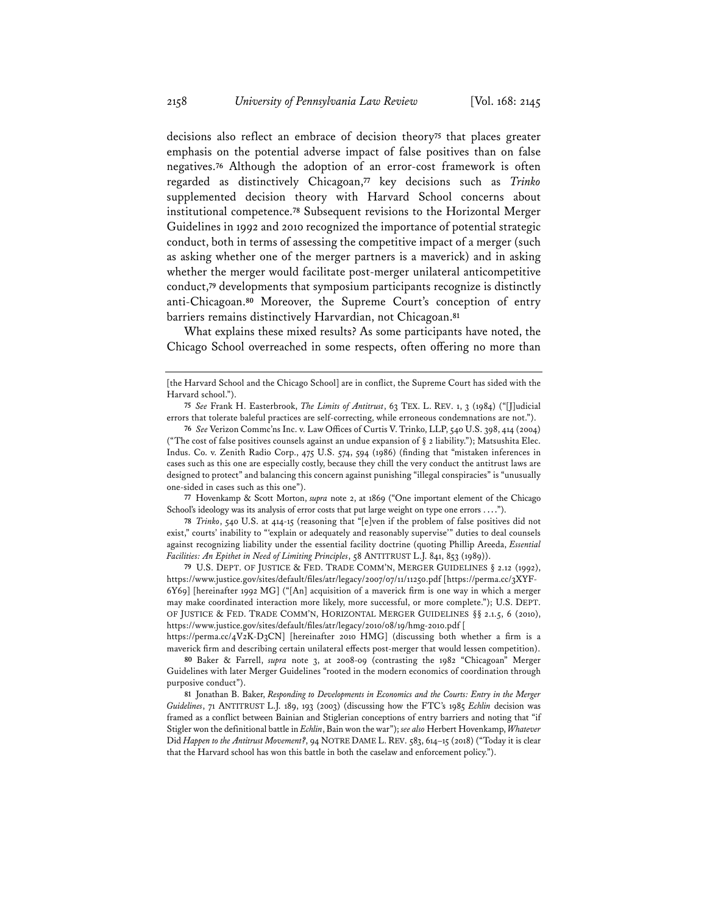decisions also reflect an embrace of decision theory**<sup>75</sup>** that places greater emphasis on the potential adverse impact of false positives than on false negatives.**<sup>76</sup>** Although the adoption of an error-cost framework is often regarded as distinctively Chicagoan,**<sup>77</sup>** key decisions such as *Trinko* supplemented decision theory with Harvard School concerns about institutional competence.**<sup>78</sup>** Subsequent revisions to the Horizontal Merger Guidelines in 1992 and 2010 recognized the importance of potential strategic conduct, both in terms of assessing the competitive impact of a merger (such as asking whether one of the merger partners is a maverick) and in asking whether the merger would facilitate post-merger unilateral anticompetitive conduct,**<sup>79</sup>** developments that symposium participants recognize is distinctly anti-Chicagoan.**<sup>80</sup>** Moreover, the Supreme Court's conception of entry barriers remains distinctively Harvardian, not Chicagoan.**<sup>81</sup>**

What explains these mixed results? As some participants have noted, the Chicago School overreached in some respects, often offering no more than

**77** Hovenkamp & Scott Morton, *supra* note 2, at 1869 ("One important element of the Chicago School's ideology was its analysis of error costs that put large weight on type one errors . . . .").

**78** *Trinko*, 540 U.S. at 414-15 (reasoning that "[e]ven if the problem of false positives did not exist," courts' inability to "'explain or adequately and reasonably supervise'" duties to deal counsels against recognizing liability under the essential facility doctrine (quoting Phillip Areeda, *Essential Facilities: An Epithet in Need of Limiting Principles*, 58 ANTITRUST L.J. 841, 853 (1989)).

**79** U.S. DEPT. OF JUSTICE & FED. TRADE COMM'N, MERGER GUIDELINES § 2.12 (1992), https://www.justice.gov/sites/default/files/atr/legacy/2007/07/11/11250.pdf [https://perma.cc/3XYF-6Y69] [hereinafter 1992 MG] ("[An] acquisition of a maverick firm is one way in which a merger may make coordinated interaction more likely, more successful, or more complete."); U.S. DEPT. OF JUSTICE & FED. TRADE COMM'N, HORIZONTAL MERGER GUIDELINES §§ 2.1.5, 6 (2010), https://www.justice.gov/sites/default/files/atr/legacy/2010/08/19/hmg-2010.pdf [

https://perma.cc/4V2K-D3CN] [hereinafter 2010 HMG] (discussing both whether a firm is a maverick firm and describing certain unilateral effects post-merger that would lessen competition).

**80** Baker & Farrell, *supra* note 3, at 2008-09 (contrasting the 1982 "Chicagoan" Merger Guidelines with later Merger Guidelines "rooted in the modern economics of coordination through purposive conduct").

**81** Jonathan B. Baker, *Responding to Developments in Economics and the Courts: Entry in the Merger Guidelines*, 71 ANTITRUST L.J. 189, 193 (2003) (discussing how the FTC's 1985 *Echlin* decision was framed as a conflict between Bainian and Stiglerian conceptions of entry barriers and noting that "if Stigler won the definitional battle in *Echlin*, Bain won the war"); *see also* Herbert Hovenkamp, *Whatever* Did *Happen to the Antitrust Movement?*, 94 NOTRE DAME L. REV. 583, 614–15 (2018) ("Today it is clear that the Harvard school has won this battle in both the caselaw and enforcement policy.").

<sup>[</sup>the Harvard School and the Chicago School] are in conflict, the Supreme Court has sided with the Harvard school.").

**<sup>75</sup>** *See* Frank H. Easterbrook, *The Limits of Antitrust*, 63 TEX. L. REV. 1, 3 (1984) ("[J]udicial errors that tolerate baleful practices are self-correcting, while erroneous condemnations are not.").

**<sup>76</sup>** *See* Verizon Commc'ns Inc. v. Law Offices of Curtis V. Trinko, LLP, 540 U.S. 398, 414 (2004) ("The cost of false positives counsels against an undue expansion of § 2 liability."); Matsushita Elec. Indus. Co. v. Zenith Radio Corp., 475 U.S. 574, 594 (1986) (finding that "mistaken inferences in cases such as this one are especially costly, because they chill the very conduct the antitrust laws are designed to protect" and balancing this concern against punishing "illegal conspiracies" is "unusually one-sided in cases such as this one").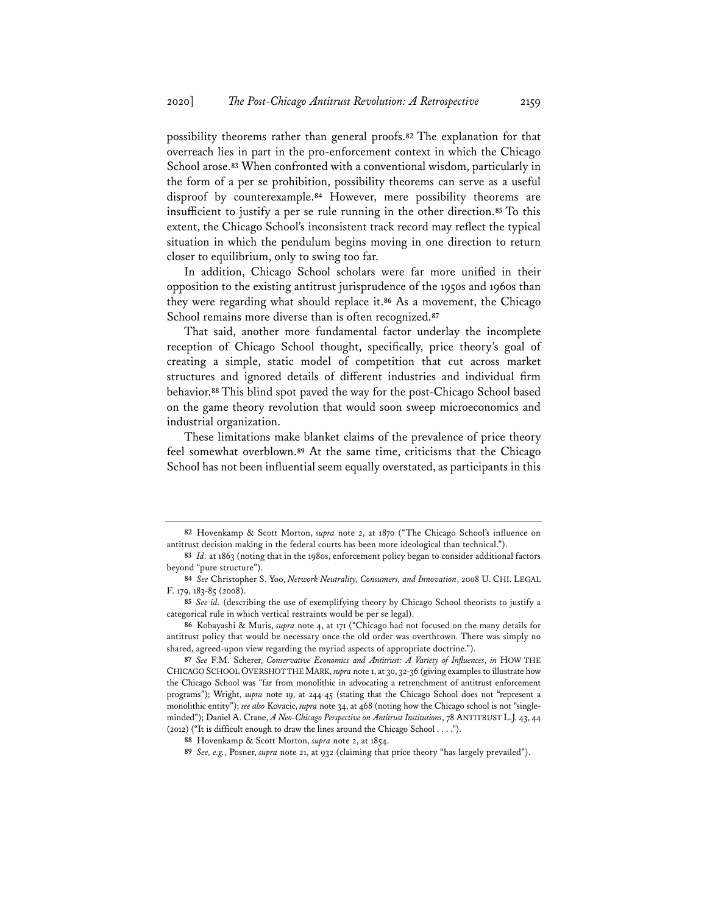possibility theorems rather than general proofs.**<sup>82</sup>** The explanation for that overreach lies in part in the pro-enforcement context in which the Chicago School arose.**<sup>83</sup>** When confronted with a conventional wisdom, particularly in the form of a per se prohibition, possibility theorems can serve as a useful disproof by counterexample.**<sup>84</sup>** However, mere possibility theorems are insufficient to justify a per se rule running in the other direction.**<sup>85</sup>** To this extent, the Chicago School's inconsistent track record may reflect the typical situation in which the pendulum begins moving in one direction to return closer to equilibrium, only to swing too far.

In addition, Chicago School scholars were far more unified in their opposition to the existing antitrust jurisprudence of the 1950s and 1960s than they were regarding what should replace it.**<sup>86</sup>** As a movement, the Chicago School remains more diverse than is often recognized.**<sup>87</sup>**

That said, another more fundamental factor underlay the incomplete reception of Chicago School thought, specifically, price theory's goal of creating a simple, static model of competition that cut across market structures and ignored details of different industries and individual firm behavior.**<sup>88</sup>** This blind spot paved the way for the post-Chicago School based on the game theory revolution that would soon sweep microeconomics and industrial organization.

These limitations make blanket claims of the prevalence of price theory feel somewhat overblown.**<sup>89</sup>** At the same time, criticisms that the Chicago School has not been influential seem equally overstated, as participants in this

**<sup>82</sup>** Hovenkamp & Scott Morton, *supra* note 2, at 1870 ("The Chicago School's influence on antitrust decision making in the federal courts has been more ideological than technical.").

**<sup>83</sup>** *Id.* at 1863 (noting that in the 1980s, enforcement policy began to consider additional factors beyond "pure structure").

**<sup>84</sup>** *See* Christopher S. Yoo, *Network Neutrality, Consumers, and Innovation*, 2008 U. CHI. LEGAL F. 179, 183-85 (2008).

**<sup>85</sup>** *See id.* (describing the use of exemplifying theory by Chicago School theorists to justify a categorical rule in which vertical restraints would be per se legal).

**<sup>86</sup>** Kobayashi & Muris, *supra* note 4, at 171 ("Chicago had not focused on the many details for antitrust policy that would be necessary once the old order was overthrown. There was simply no shared, agreed-upon view regarding the myriad aspects of appropriate doctrine.").

**<sup>87</sup>** *See* F.M. Scherer, *Conservative Economics and Antitrust: A Variety of Influences*, *in* HOW THE CHICAGO SCHOOL OVERSHOT THE MARK, *supra* note 1, at 30, 32-36 (giving examples to illustrate how the Chicago School was "far from monolithic in advocating a retrenchment of antitrust enforcement programs"); Wright, *supra* note 19, at 244-45 (stating that the Chicago School does not "represent a monolithic entity"); *see also* Kovacic, *supra* note 34, at 468 (noting how the Chicago school is not "singleminded"); Daniel A. Crane, *A Neo-Chicago Perspective on Antitrust Institutions*, 78 ANTITRUST L.J. 43, 44 (2012) ("It is difficult enough to draw the lines around the Chicago School . . . .").

**<sup>88</sup>** Hovenkamp & Scott Morton, *supra* note 2, at 1854.

**<sup>89</sup>** *See, e.g.*, Posner, *supra* note 21, at 932 (claiming that price theory "has largely prevailed").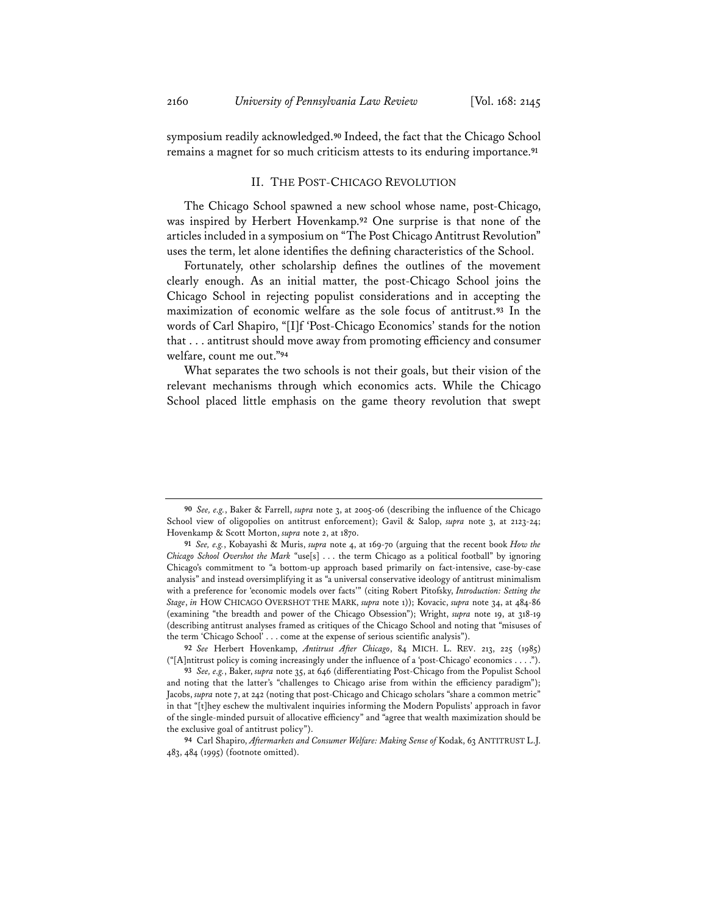symposium readily acknowledged.**<sup>90</sup>** Indeed, the fact that the Chicago School remains a magnet for so much criticism attests to its enduring importance.**<sup>91</sup>**

## II. THE POST-CHICAGO REVOLUTION

The Chicago School spawned a new school whose name, post-Chicago, was inspired by Herbert Hovenkamp.**<sup>92</sup>** One surprise is that none of the articles included in a symposium on "The Post Chicago Antitrust Revolution" uses the term, let alone identifies the defining characteristics of the School.

Fortunately, other scholarship defines the outlines of the movement clearly enough. As an initial matter, the post-Chicago School joins the Chicago School in rejecting populist considerations and in accepting the maximization of economic welfare as the sole focus of antitrust.**<sup>93</sup>** In the words of Carl Shapiro, "[I]f 'Post-Chicago Economics' stands for the notion that . . . antitrust should move away from promoting efficiency and consumer welfare, count me out."**<sup>94</sup>**

What separates the two schools is not their goals, but their vision of the relevant mechanisms through which economics acts. While the Chicago School placed little emphasis on the game theory revolution that swept

**<sup>90</sup>** *See, e.g.*, Baker & Farrell, *supra* note 3, at 2005-06 (describing the influence of the Chicago School view of oligopolies on antitrust enforcement); Gavil & Salop, *supra* note 3, at 2123-24; Hovenkamp & Scott Morton, *supra* note 2, at 1870.

**<sup>91</sup>** *See, e.g.*, Kobayashi & Muris, *supra* note 4, at 169-70 (arguing that the recent book *How the Chicago School Overshot the Mark* "use[s] . . . the term Chicago as a political football" by ignoring Chicago's commitment to "a bottom-up approach based primarily on fact-intensive, case-by-case analysis" and instead oversimplifying it as "a universal conservative ideology of antitrust minimalism with a preference for 'economic models over facts'" (citing Robert Pitofsky, *Introduction: Setting the Stage*, *in* HOW CHICAGO OVERSHOT THE MARK, *supra* note 1)); Kovacic, *supra* note 34, at 484-86 (examining "the breadth and power of the Chicago Obsession"); Wright, *supra* note 19, at 318-19 (describing antitrust analyses framed as critiques of the Chicago School and noting that "misuses of the term 'Chicago School' . . . come at the expense of serious scientific analysis").

**<sup>92</sup>** *See* Herbert Hovenkamp, *Antitrust After Chicago*, 84 MICH. L. REV. 213, 225 (1985) ("[A]ntitrust policy is coming increasingly under the influence of a 'post-Chicago' economics . . . .").

**<sup>93</sup>** *See, e.g.*, Baker, *supra* note 35, at 646 (differentiating Post-Chicago from the Populist School and noting that the latter's "challenges to Chicago arise from within the efficiency paradigm"); Jacobs, *supra* note 7, at 242 (noting that post-Chicago and Chicago scholars "share a common metric" in that "[t]hey eschew the multivalent inquiries informing the Modern Populists' approach in favor of the single-minded pursuit of allocative efficiency" and "agree that wealth maximization should be the exclusive goal of antitrust policy").

**<sup>94</sup>** Carl Shapiro, *Aftermarkets and Consumer Welfare: Making Sense of* Kodak, 63 ANTITRUST L.J. 483, 484 (1995) (footnote omitted).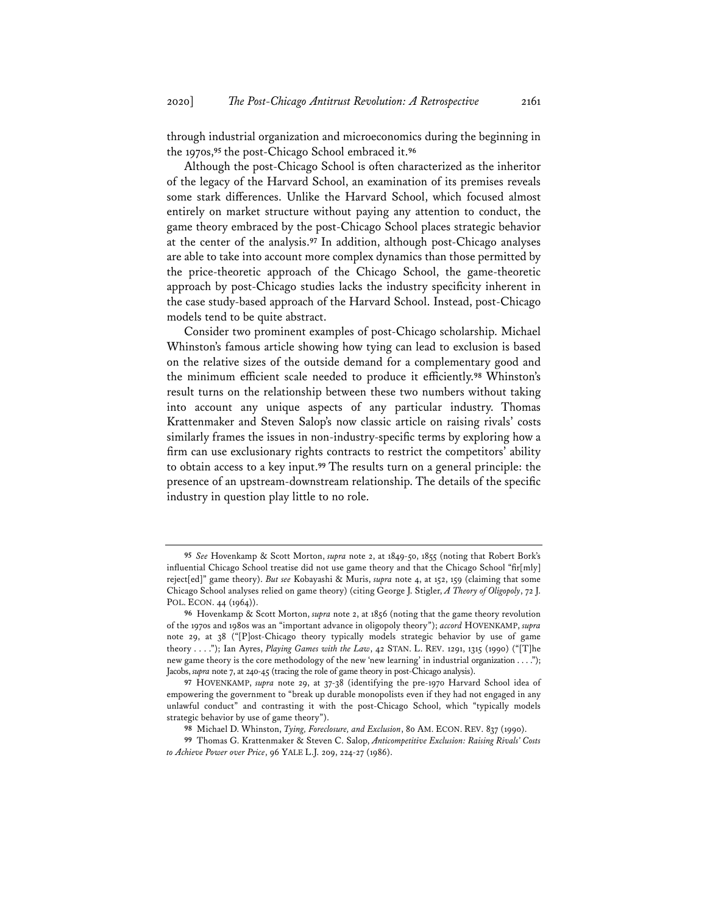through industrial organization and microeconomics during the beginning in the 1970s,**<sup>95</sup>** the post-Chicago School embraced it.**<sup>96</sup>**

Although the post-Chicago School is often characterized as the inheritor of the legacy of the Harvard School, an examination of its premises reveals some stark differences. Unlike the Harvard School, which focused almost entirely on market structure without paying any attention to conduct, the game theory embraced by the post-Chicago School places strategic behavior at the center of the analysis.**<sup>97</sup>** In addition, although post-Chicago analyses are able to take into account more complex dynamics than those permitted by the price-theoretic approach of the Chicago School, the game-theoretic approach by post-Chicago studies lacks the industry specificity inherent in the case study-based approach of the Harvard School. Instead, post-Chicago models tend to be quite abstract.

Consider two prominent examples of post-Chicago scholarship. Michael Whinston's famous article showing how tying can lead to exclusion is based on the relative sizes of the outside demand for a complementary good and the minimum efficient scale needed to produce it efficiently.**<sup>98</sup>** Whinston's result turns on the relationship between these two numbers without taking into account any unique aspects of any particular industry. Thomas Krattenmaker and Steven Salop's now classic article on raising rivals' costs similarly frames the issues in non-industry-specific terms by exploring how a firm can use exclusionary rights contracts to restrict the competitors' ability to obtain access to a key input.**<sup>99</sup>** The results turn on a general principle: the presence of an upstream-downstream relationship. The details of the specific industry in question play little to no role.

**<sup>95</sup>** *See* Hovenkamp & Scott Morton, *supra* note 2, at 1849-50, 1855 (noting that Robert Bork's influential Chicago School treatise did not use game theory and that the Chicago School "fir[mly] reject[ed]" game theory). *But see* Kobayashi & Muris, *supra* note 4, at 152, 159 (claiming that some Chicago School analyses relied on game theory) (citing George J. Stigler, *A Theory of Oligopoly*, 72 J. POL. ECON. 44 (1964)).

**<sup>96</sup>** Hovenkamp & Scott Morton, *supra* note 2, at 1856 (noting that the game theory revolution of the 1970s and 1980s was an "important advance in oligopoly theory"); *accord* HOVENKAMP, *supra* note 29, at 38 ("[P]ost-Chicago theory typically models strategic behavior by use of game theory . . . ."); Ian Ayres, *Playing Games with the Law*, 42 STAN. L. REV. 1291, 1315 (1990) ("[T]he new game theory is the core methodology of the new 'new learning' in industrial organization . . . ."); Jacobs, *supra* note 7, at 240-45 (tracing the role of game theory in post-Chicago analysis).

**<sup>97</sup>** HOVENKAMP, *supra* note 29, at 37-38 (identifying the pre-1970 Harvard School idea of empowering the government to "break up durable monopolists even if they had not engaged in any unlawful conduct" and contrasting it with the post-Chicago School, which "typically models strategic behavior by use of game theory").

**<sup>98</sup>** Michael D. Whinston, *Tying, Foreclosure, and Exclusion*, 80 AM. ECON. REV. 837 (1990).

**<sup>99</sup>** Thomas G. Krattenmaker & Steven C. Salop, *Anticompetitive Exclusion: Raising Rivals' Costs to Achieve Power over Price*, 96 YALE L.J. 209, 224-27 (1986).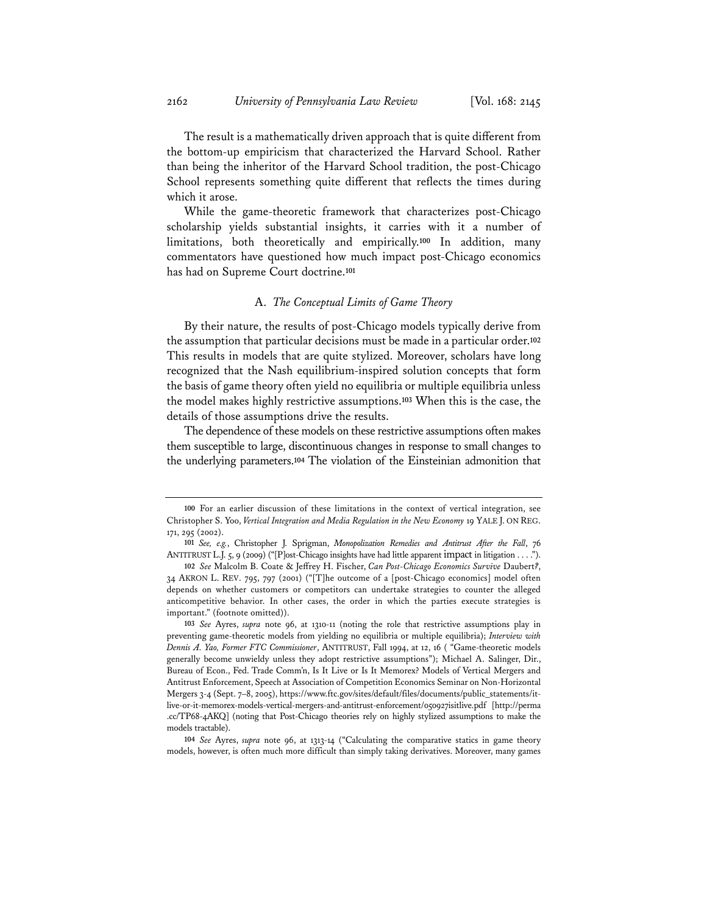The result is a mathematically driven approach that is quite different from the bottom-up empiricism that characterized the Harvard School. Rather than being the inheritor of the Harvard School tradition, the post-Chicago School represents something quite different that reflects the times during which it arose.

While the game-theoretic framework that characterizes post-Chicago scholarship yields substantial insights, it carries with it a number of limitations, both theoretically and empirically.**<sup>100</sup>** In addition, many commentators have questioned how much impact post-Chicago economics has had on Supreme Court doctrine.**<sup>101</sup>**

#### A. *The Conceptual Limits of Game Theory*

By their nature, the results of post-Chicago models typically derive from the assumption that particular decisions must be made in a particular order.**<sup>102</sup>** This results in models that are quite stylized. Moreover, scholars have long recognized that the Nash equilibrium-inspired solution concepts that form the basis of game theory often yield no equilibria or multiple equilibria unless the model makes highly restrictive assumptions.**<sup>103</sup>** When this is the case, the details of those assumptions drive the results.

The dependence of these models on these restrictive assumptions often makes them susceptible to large, discontinuous changes in response to small changes to the underlying parameters.**<sup>104</sup>** The violation of the Einsteinian admonition that

**104** *See* Ayres, *supra* note 96, at 1313-14 ("Calculating the comparative statics in game theory models, however, is often much more difficult than simply taking derivatives. Moreover, many games

**<sup>100</sup>** For an earlier discussion of these limitations in the context of vertical integration, see Christopher S. Yoo, *Vertical Integration and Media Regulation in the New Economy* 19 YALE J. ON REG. 171, 295 (2002).

**<sup>101</sup>** *See, e.g.*, Christopher J. Sprigman, *Monopolization Remedies and Antitrust After the Fall*, 76 ANTITRUST L.J. 5, 9 (2009) ("[P]ost-Chicago insights have had little apparent impact in litigation . . . .").

**<sup>102</sup>** *See* Malcolm B. Coate & Jeffrey H. Fischer, *Can Post-Chicago Economics Survive* Daubert*?*, 34 AKRON L. REV. 795, 797 (2001) ("[T]he outcome of a [post-Chicago economics] model often depends on whether customers or competitors can undertake strategies to counter the alleged anticompetitive behavior. In other cases, the order in which the parties execute strategies is important." (footnote omitted)).

**<sup>103</sup>** *See* Ayres, *supra* note 96, at 1310-11 (noting the role that restrictive assumptions play in preventing game-theoretic models from yielding no equilibria or multiple equilibria); *Interview with Dennis A. Yao, Former FTC Commissioner*, ANTITRUST, Fall 1994, at 12, 16 ( "Game-theoretic models generally become unwieldy unless they adopt restrictive assumptions"); Michael A. Salinger, Dir., Bureau of Econ., Fed. Trade Comm'n, Is It Live or Is It Memorex? Models of Vertical Mergers and Antitrust Enforcement, Speech at Association of Competition Economics Seminar on Non-Horizontal Mergers 3-4 (Sept. 7–8, 2005), https://www.ftc.gov/sites/default/files/documents/public\_statements/itlive-or-it-memorex-models-vertical-mergers-and-antitrust-enforcement/050927isitlive.pdf [http://perma .cc/TP68-4AKQ] (noting that Post-Chicago theories rely on highly stylized assumptions to make the models tractable).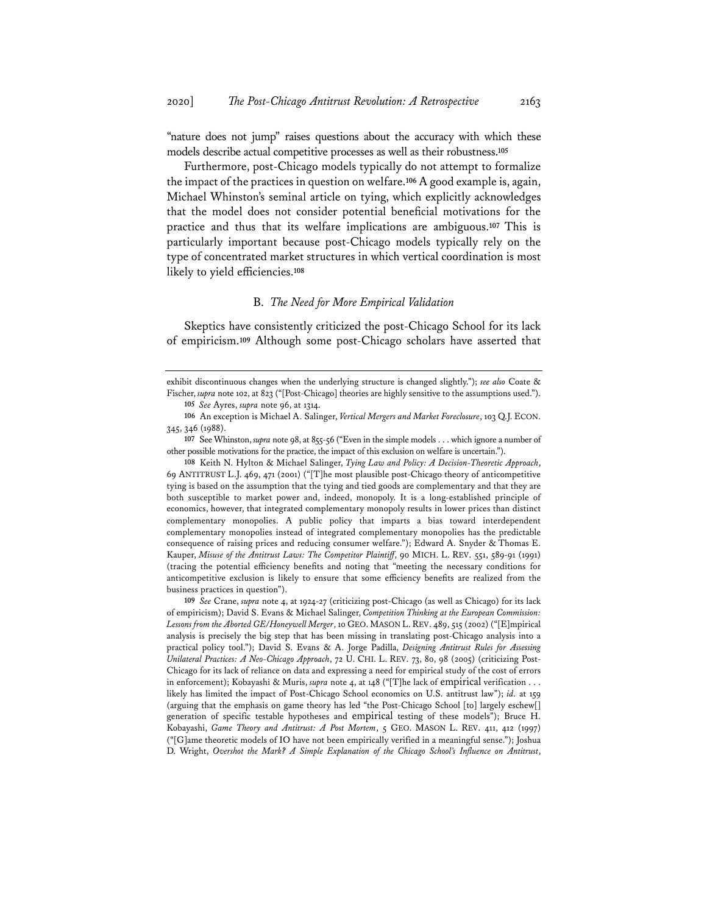"nature does not jump" raises questions about the accuracy with which these models describe actual competitive processes as well as their robustness.**<sup>105</sup>**

Furthermore, post-Chicago models typically do not attempt to formalize the impact of the practices in question on welfare.**<sup>106</sup>** A good example is, again, Michael Whinston's seminal article on tying, which explicitly acknowledges that the model does not consider potential beneficial motivations for the practice and thus that its welfare implications are ambiguous.**<sup>107</sup>** This is particularly important because post-Chicago models typically rely on the type of concentrated market structures in which vertical coordination is most likely to yield efficiencies.**<sup>108</sup>**

#### B. *The Need for More Empirical Validation*

Skeptics have consistently criticized the post-Chicago School for its lack of empiricism.**<sup>109</sup>** Although some post-Chicago scholars have asserted that

**109** *See* Crane, *supra* note 4, at 1924-27 (criticizing post-Chicago (as well as Chicago) for its lack of empiricism); David S. Evans & Michael Salinger, *Competition Thinking at the European Commission: Lessons from the Aborted GE/Honeywell Merger*, 10 GEO. MASON L. REV. 489, 515 (2002) ("[E]mpirical analysis is precisely the big step that has been missing in translating post-Chicago analysis into a practical policy tool."); David S. Evans & A. Jorge Padilla, *Designing Antitrust Rules for Assessing Unilateral Practices: A Neo-Chicago Approach*, 72 U. CHI. L. REV. 73, 80, 98 (2005) (criticizing Post-Chicago for its lack of reliance on data and expressing a need for empirical study of the cost of errors in enforcement); Kobayashi & Muris, *supra* note 4, at 148 ("[T]he lack of empirical verification . . . likely has limited the impact of Post-Chicago School economics on U.S. antitrust law"); *id.* at 159 (arguing that the emphasis on game theory has led "the Post-Chicago School [to] largely eschew[] generation of specific testable hypotheses and empirical testing of these models"); Bruce H. Kobayashi, *Game Theory and Antitrust: A Post Mortem*, 5 GEO. MASON L. REV. 411, 412 (1997) ("[G]ame theoretic models of IO have not been empirically verified in a meaningful sense."); Joshua D. Wright, *Overshot the Mark? A Simple Explanation of the Chicago School's Influence on Antitrust*,

exhibit discontinuous changes when the underlying structure is changed slightly."); *see also* Coate & Fischer, *supra* note 102, at 823 ("[Post-Chicago] theories are highly sensitive to the assumptions used."). **105** *See* Ayres, *supra* note 96, at 1314.

**<sup>106</sup>** An exception is Michael A. Salinger, *Vertical Mergers and Market Foreclosure*, 103 Q.J. ECON. 345, 346 (1988).

**<sup>107</sup>** See Whinston, *supra* note 98, at 855-56 ("Even in the simple models . . . which ignore a number of other possible motivations for the practice, the impact of this exclusion on welfare is uncertain.").

**<sup>108</sup>** Keith N. Hylton & Michael Salinger, *Tying Law and Policy: A Decision-Theoretic Approach*, 69 ANTITRUST L.J. 469, 471 (2001) ("[T]he most plausible post-Chicago theory of anticompetitive tying is based on the assumption that the tying and tied goods are complementary and that they are both susceptible to market power and, indeed, monopoly. It is a long-established principle of economics, however, that integrated complementary monopoly results in lower prices than distinct complementary monopolies. A public policy that imparts a bias toward interdependent complementary monopolies instead of integrated complementary monopolies has the predictable consequence of raising prices and reducing consumer welfare."); Edward A. Snyder & Thomas E. Kauper, *Misuse of the Antitrust Laws: The Competitor Plaintiff*, 90 MICH. L. REV. 551, 589-91 (1991) (tracing the potential efficiency benefits and noting that "meeting the necessary conditions for anticompetitive exclusion is likely to ensure that some efficiency benefits are realized from the business practices in question").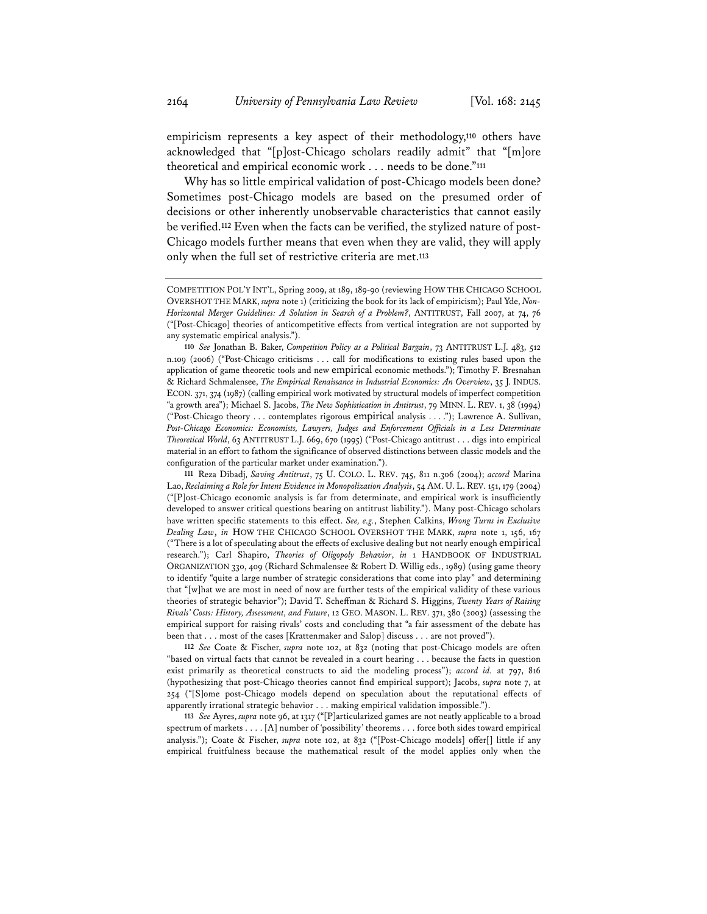empiricism represents a key aspect of their methodology,**<sup>110</sup>** others have acknowledged that "[p]ost-Chicago scholars readily admit" that "[m]ore theoretical and empirical economic work . . . needs to be done."**<sup>111</sup>**

Why has so little empirical validation of post-Chicago models been done? Sometimes post-Chicago models are based on the presumed order of decisions or other inherently unobservable characteristics that cannot easily be verified.**<sup>112</sup>** Even when the facts can be verified, the stylized nature of post-Chicago models further means that even when they are valid, they will apply only when the full set of restrictive criteria are met.**<sup>113</sup>**

**112** *See* Coate & Fischer, *supra* note 102, at 832 (noting that post-Chicago models are often "based on virtual facts that cannot be revealed in a court hearing . . . because the facts in question exist primarily as theoretical constructs to aid the modeling process"); *accord id.* at 797, 816 (hypothesizing that post-Chicago theories cannot find empirical support); Jacobs, *supra* note 7, at 254 ("[S]ome post-Chicago models depend on speculation about the reputational effects of apparently irrational strategic behavior . . . making empirical validation impossible.").

**113** *See* Ayres, *supra* note 96, at 1317 ("[P]articularized games are not neatly applicable to a broad spectrum of markets . . . . [A] number of 'possibility' theorems . . . force both sides toward empirical analysis."); Coate & Fischer, *supra* note 102, at 832 ("[Post-Chicago models] offer[] little if any empirical fruitfulness because the mathematical result of the model applies only when the

COMPETITION POL'Y INT'L, Spring 2009, at 189, 189-90 (reviewing HOW THE CHICAGO SCHOOL OVERSHOT THE MARK, *supra* note 1) (criticizing the book for its lack of empiricism); Paul Yde, *Non-Horizontal Merger Guidelines: A Solution in Search of a Problem?*, ANTITRUST, Fall 2007, at 74, 76 ("[Post-Chicago] theories of anticompetitive effects from vertical integration are not supported by any systematic empirical analysis.").

**<sup>110</sup>** *See* Jonathan B. Baker, *Competition Policy as a Political Bargain*, 73 ANTITRUST L.J. 483, 512 n.109 (2006) ("Post-Chicago criticisms . . . call for modifications to existing rules based upon the application of game theoretic tools and new empirical economic methods."); Timothy F. Bresnahan & Richard Schmalensee, *The Empirical Renaissance in Industrial Economics: An Overview*, 35 J. INDUS. ECON. 371, 374 (1987) (calling empirical work motivated by structural models of imperfect competition "a growth area"); Michael S. Jacobs, *The New Sophistication in Antitrust*, 79 MINN. L. REV. 1, 38 (1994) ("Post-Chicago theory . . . contemplates rigorous empirical analysis . . . ."); Lawrence A. Sullivan, *Post-Chicago Economics: Economists, Lawyers, Judges and Enforcement Officials in a Less Determinate Theoretical World*, 63 ANTITRUST L.J. 669, 670 (1995) ("Post-Chicago antitrust . . . digs into empirical material in an effort to fathom the significance of observed distinctions between classic models and the configuration of the particular market under examination.").

**<sup>111</sup>** Reza Dibadj, *Saving Antitrust*, 75 U. COLO. L. REV. 745, 811 n.306 (2004); *accord* Marina Lao, *Reclaiming a Role for Intent Evidence in Monopolization Analysis*, 54 AM. U. L. REV. 151, 179 (2004) ("[P]ost-Chicago economic analysis is far from determinate, and empirical work is insufficiently developed to answer critical questions bearing on antitrust liability."). Many post-Chicago scholars have written specific statements to this effect. *See, e.g.*, Stephen Calkins, *Wrong Turns in Exclusive Dealing Law*, *in* HOW THE CHICAGO SCHOOL OVERSHOT THE MARK, *supra* note 1, 156, 167 ("There is a lot of speculating about the effects of exclusive dealing but not nearly enough empirical research."); Carl Shapiro, *Theories of Oligopoly Behavior*, *in* 1 HANDBOOK OF INDUSTRIAL ORGANIZATION 330, 409 (Richard Schmalensee & Robert D. Willig eds., 1989) (using game theory to identify "quite a large number of strategic considerations that come into play" and determining that "[w]hat we are most in need of now are further tests of the empirical validity of these various theories of strategic behavior"); David T. Scheffman & Richard S. Higgins, *Twenty Years of Raising Rivals' Costs: History, Assessment, and Future*, 12 GEO. MASON. L. REV. 371, 380 (2003) (assessing the empirical support for raising rivals' costs and concluding that "a fair assessment of the debate has been that . . . most of the cases [Krattenmaker and Salop] discuss . . . are not proved").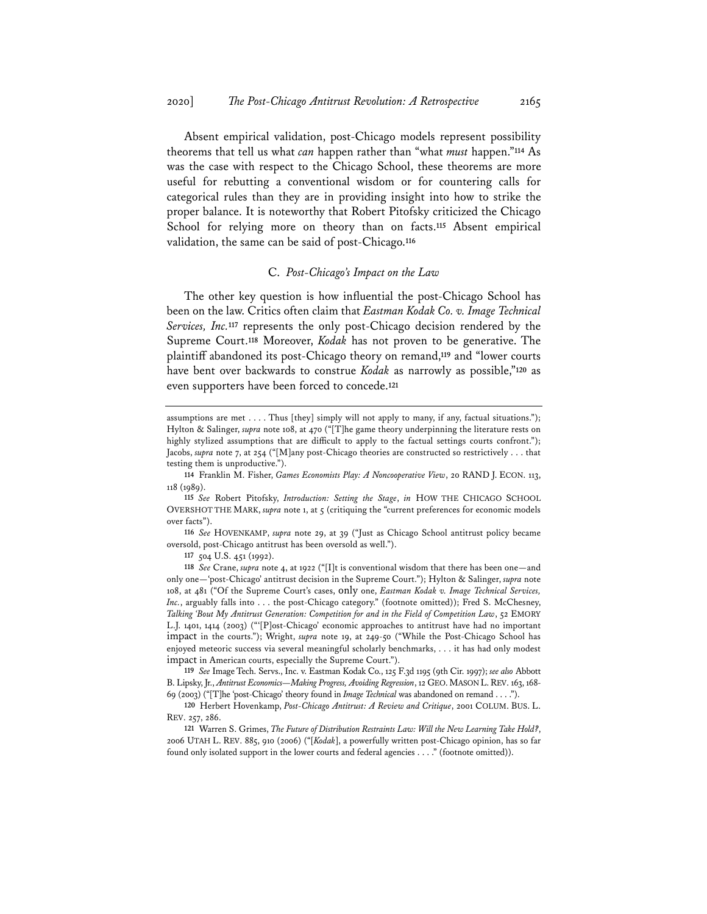Absent empirical validation, post-Chicago models represent possibility theorems that tell us what *can* happen rather than "what *must* happen."**<sup>114</sup>** As was the case with respect to the Chicago School, these theorems are more useful for rebutting a conventional wisdom or for countering calls for categorical rules than they are in providing insight into how to strike the proper balance. It is noteworthy that Robert Pitofsky criticized the Chicago School for relying more on theory than on facts.**<sup>115</sup>** Absent empirical validation, the same can be said of post-Chicago.**<sup>116</sup>**

# C. *Post-Chicago's Impact on the Law*

The other key question is how influential the post-Chicago School has been on the law. Critics often claim that *Eastman Kodak Co. v. Image Technical Services, Inc.***<sup>117</sup>** represents the only post-Chicago decision rendered by the Supreme Court.**<sup>118</sup>** Moreover, *Kodak* has not proven to be generative. The plaintiff abandoned its post-Chicago theory on remand,**<sup>119</sup>** and "lower courts have bent over backwards to construe *Kodak* as narrowly as possible,"**<sup>120</sup>** as even supporters have been forced to concede.**<sup>121</sup>**

**116** *See* HOVENKAMP, *supra* note 29, at 39 ("Just as Chicago School antitrust policy became oversold, post-Chicago antitrust has been oversold as well.").

**117** 504 U.S. 451 (1992).

**118** *See* Crane, *supra* note 4, at 1922 ("[I]t is conventional wisdom that there has been one—and only one—'post-Chicago' antitrust decision in the Supreme Court."); Hylton & Salinger, *supra* note 108, at 481 ("Of the Supreme Court's cases, only one, *Eastman Kodak v. Image Technical Services,*  Inc., arguably falls into . . . the post-Chicago category." (footnote omitted)); Fred S. McChesney, *Talking 'Bout My Antitrust Generation: Competition for and in the Field of Competition Law*, 52 EMORY L.J. 1401, 1414 (2003) ("'[P]ost-Chicago' economic approaches to antitrust have had no important impact in the courts."); Wright, *supra* note 19, at 249-50 ("While the Post-Chicago School has enjoyed meteoric success via several meaningful scholarly benchmarks, . . . it has had only modest impact in American courts, especially the Supreme Court.").

**119** *See* Image Tech. Servs., Inc. v. Eastman Kodak Co., 125 F.3d 1195 (9th Cir. 1997); *see also* Abbott B. Lipsky, Jr., *Antitrust Economics—Making Progress, Avoiding Regression*, 12 GEO. MASON L.REV. 163, 168- 69 (2003) ("[T]he 'post-Chicago' theory found in *Image Technical* was abandoned on remand . . . .").

**120** Herbert Hovenkamp, *Post-Chicago Antitrust: A Review and Critique*, 2001 COLUM. BUS. L. REV. 257, 286.

**121** Warren S. Grimes, *The Future of Distribution Restraints Law: Will the New Learning Take Hold?*, 2006 UTAH L. REV. 885, 910 (2006) ("[*Kodak*], a powerfully written post-Chicago opinion, has so far found only isolated support in the lower courts and federal agencies . . . ." (footnote omitted)).

assumptions are met . . . . Thus [they] simply will not apply to many, if any, factual situations."); Hylton & Salinger, *supra* note 108, at 470 ("[T]he game theory underpinning the literature rests on highly stylized assumptions that are difficult to apply to the factual settings courts confront."); Jacobs, *supra* note 7, at 254 ("[M]any post-Chicago theories are constructed so restrictively . . . that testing them is unproductive.").

**<sup>114</sup>** Franklin M. Fisher, *Games Economists Play: A Noncooperative View*, 20 RAND J. ECON. 113, 118 (1989).

**<sup>115</sup>** *See* Robert Pitofsky, *Introduction: Setting the Stage*, *in* HOW THE CHICAGO SCHOOL OVERSHOT THE MARK, *supra* note 1, at 5 (critiquing the "current preferences for economic models over facts").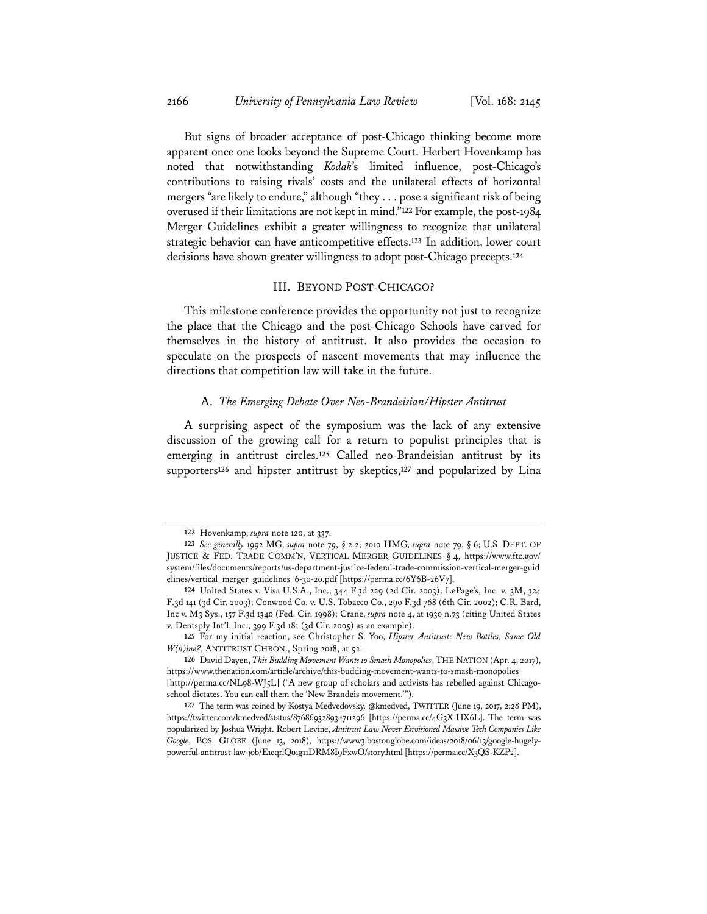But signs of broader acceptance of post-Chicago thinking become more apparent once one looks beyond the Supreme Court. Herbert Hovenkamp has noted that notwithstanding *Kodak*'s limited influence, post-Chicago's contributions to raising rivals' costs and the unilateral effects of horizontal mergers "are likely to endure," although "they . . . pose a significant risk of being overused if their limitations are not kept in mind."**<sup>122</sup>** For example, the post-1984 Merger Guidelines exhibit a greater willingness to recognize that unilateral strategic behavior can have anticompetitive effects.**<sup>123</sup>** In addition, lower court decisions have shown greater willingness to adopt post-Chicago precepts.**<sup>124</sup>**

# III. BEYOND POST-CHICAGO?

This milestone conference provides the opportunity not just to recognize the place that the Chicago and the post-Chicago Schools have carved for themselves in the history of antitrust. It also provides the occasion to speculate on the prospects of nascent movements that may influence the directions that competition law will take in the future.

## A. *The Emerging Debate Over Neo-Brandeisian/Hipster Antitrust*

A surprising aspect of the symposium was the lack of any extensive discussion of the growing call for a return to populist principles that is emerging in antitrust circles.**<sup>125</sup>** Called neo-Brandeisian antitrust by its supporters**<sup>126</sup>** and hipster antitrust by skeptics,**<sup>127</sup>** and popularized by Lina

**<sup>122</sup>** Hovenkamp, *supra* note 120, at 337.

**<sup>123</sup>** *See generally* 1992 MG, *supra* note 79, § 2.2; 2010 HMG, *supra* note 79, § 6; U.S. DEPT. OF JUSTICE & FED. TRADE COMM'N, VERTICAL MERGER GUIDELINES § 4, https://www.ftc.gov/ system/files/documents/reports/us-department-justice-federal-trade-commission-vertical-merger-guid elines/vertical\_merger\_guidelines\_6-30-20.pdf [https://perma.cc/6Y6B-26V7].

**<sup>124</sup>** United States v. Visa U.S.A., Inc., 344 F.3d 229 (2d Cir. 2003); LePage's, Inc. v. 3M, 324 F.3d 141 (3d Cir. 2003); Conwood Co. v. U.S. Tobacco Co., 290 F.3d 768 (6th Cir. 2002); C.R. Bard, Inc v. M3 Sys., 157 F.3d 1340 (Fed. Cir. 1998); Crane, *supra* note 4, at 1930 n.73 (citing United States v. Dentsply Int'l, Inc., 399 F.3d 181 (3d Cir. 2005) as an example).

**<sup>125</sup>** For my initial reaction, see Christopher S. Yoo, *Hipster Antitrust: New Bottles, Same Old W(h)ine?*, ANTITRUST CHRON., Spring 2018, at 52.

**<sup>126</sup>** David Dayen, *This Budding Movement Wants to Smash Monopolies*, THE NATION (Apr. 4, 2017), https://www.thenation.com/article/archive/this-budding-movement-wants-to-smash-monopolies [http://perma.cc/NL98-WJ5L] ("A new group of scholars and activists has rebelled against Chicagoschool dictates. You can call them the 'New Brandeis movement.'").

**<sup>127</sup>** The term was coined by Kostya Medvedovsky. @kmedved, TWITTER (June 19, 2017, 2:28 PM), https://twitter.com/kmedved/status/876869328934711296 [https://perma.cc/4G3X-HX6L]. The term was popularized by Joshua Wright. Robert Levine, *Antitrust Law Never Envisioned Massive Tech Companies Like Google*, BOS. GLOBE (June 13, 2018), https://www3.bostonglobe.com/ideas/2018/06/13/google-hugelypowerful-antitrust-law-job/E1eqrlQ01g11DRM8I9FxwO/story.html [https://perma.cc/X3QS-KZP2].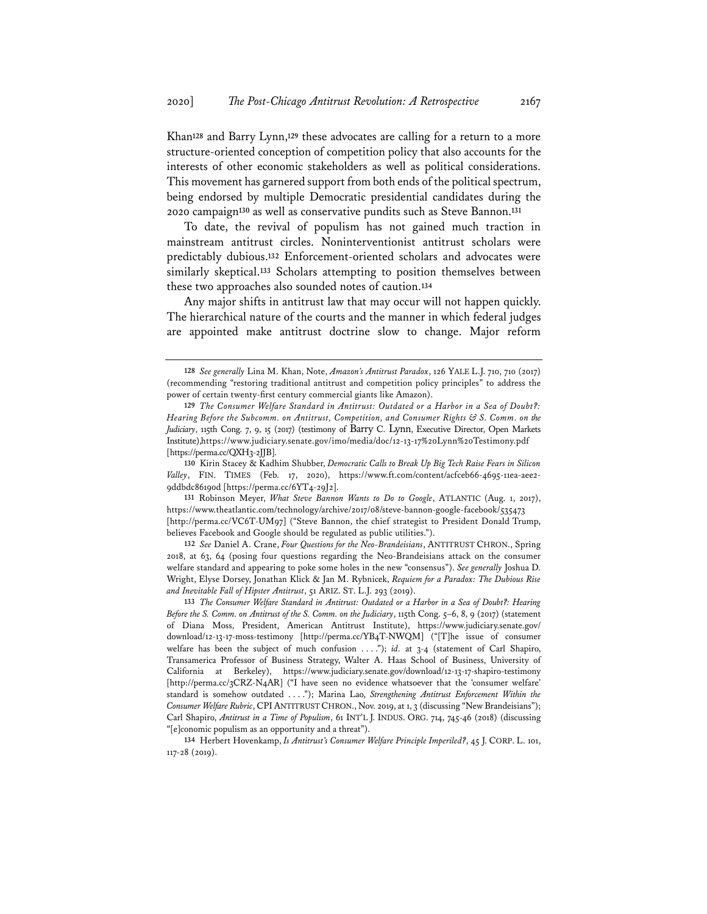Khan**<sup>128</sup>** and Barry Lynn,**<sup>129</sup>** these advocates are calling for a return to a more structure-oriented conception of competition policy that also accounts for the interests of other economic stakeholders as well as political considerations. This movement has garnered support from both ends of the political spectrum, being endorsed by multiple Democratic presidential candidates during the 2020 campaign**<sup>130</sup>** as well as conservative pundits such as Steve Bannon.**<sup>131</sup>**

To date, the revival of populism has not gained much traction in mainstream antitrust circles. Noninterventionist antitrust scholars were predictably dubious.**<sup>132</sup>** Enforcement-oriented scholars and advocates were similarly skeptical.**<sup>133</sup>** Scholars attempting to position themselves between these two approaches also sounded notes of caution.**<sup>134</sup>**

Any major shifts in antitrust law that may occur will not happen quickly. The hierarchical nature of the courts and the manner in which federal judges are appointed make antitrust doctrine slow to change. Major reform

**<sup>128</sup>** *See generally* Lina M. Khan, Note, *Amazon's Antitrust Paradox*, 126 YALE L.J. 710, 710 (2017) (recommending "restoring traditional antitrust and competition policy principles" to address the power of certain twenty-first century commercial giants like Amazon).

**<sup>129</sup>** *The Consumer Welfare Standard in Antitrust: Outdated or a Harbor in a Sea of Doubt?: Hearing Before the Subcomm. on Antitrust, Competition, and Consumer Rights & S. Comm. on the Judiciary*, 115th Cong. 7, 9, 15 (2017) (testimony of Barry C. Lynn, Executive Director, Open Markets Institute),https://www.judiciary.senate.gov/imo/media/doc/12-13-17%20Lynn%20Testimony.pdf [https://perma.cc/QXH3-2JJB].

**<sup>130</sup>** Kirin Stacey & Kadhim Shubber, *Democratic Calls to Break Up Big Tech Raise Fears in Silicon Valley*, FIN. TIMES (Feb. 17, 2020), https://www.ft.com/content/acfceb66-4695-11ea-aee2- 9ddbdc86190d [https://perma.cc/6YT4-29J2].

**<sup>131</sup>** Robinson Meyer, *What Steve Bannon Wants to Do to Google*, ATLANTIC (Aug. 1, 2017), https://www.theatlantic.com/technology/archive/2017/08/steve-bannon-google-facebook/535473 [http://perma.cc/VC6T-UM97] ("Steve Bannon, the chief strategist to President Donald Trump, believes Facebook and Google should be regulated as public utilities.").

**<sup>132</sup>** *See* Daniel A. Crane, *Four Questions for the Neo-Brandeisians*, ANTITRUST CHRON., Spring 2018, at 63, 64 (posing four questions regarding the Neo-Brandeisians attack on the consumer welfare standard and appearing to poke some holes in the new "consensus"). *See generally* Joshua D. Wright, Elyse Dorsey, Jonathan Klick & Jan M. Rybnicek, *Requiem for a Paradox: The Dubious Rise and Inevitable Fall of Hipster Antitrust*, 51 ARIZ. ST. L.J. 293 (2019).

**<sup>133</sup>** *The Consumer Welfare Standard in Antitrust: Outdated or a Harbor in a Sea of Doubt?: Hearing Before the S. Comm. on Antitrust of the S. Comm. on the Judiciary*, 115th Cong. 5–6, 8, 9 (2017) (statement of Diana Moss, President, American Antitrust Institute), https://www.judiciary.senate.gov/ download/12-13-17-moss-testimony [http://perma.cc/YB4T-NWQM] ("[T]he issue of consumer welfare has been the subject of much confusion . . . ."); *id.* at 3-4 (statement of Carl Shapiro, Transamerica Professor of Business Strategy, Walter A. Haas School of Business, University of California at Berkeley), https://www.judiciary.senate.gov/download/12-13-17-shapiro-testimony [http://perma.cc/3CRZ-N4AR] ("I have seen no evidence whatsoever that the 'consumer welfare' standard is somehow outdated . . . ."); Marina Lao, *Strengthening Antitrust Enforcement Within the Consumer Welfare Rubric*, CPIANTITRUSTCHRON., Nov. 2019, at 1, 3 (discussing "New Brandeisians"); Carl Shapiro, *Antitrust in a Time of Populism*, 61 INT'L J. INDUS. ORG. 714, 745-46 (2018) (discussing "[e]conomic populism as an opportunity and a threat").

**<sup>134</sup>** Herbert Hovenkamp, *Is Antitrust's Consumer Welfare Principle Imperiled?*, 45 J. CORP. L. 101, 117-28 (2019).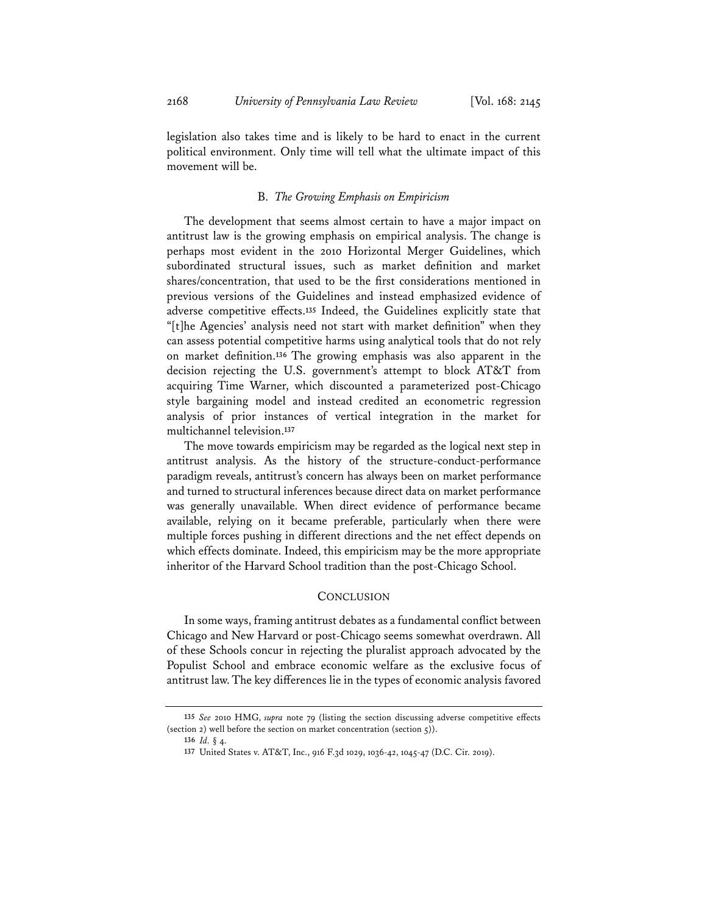legislation also takes time and is likely to be hard to enact in the current political environment. Only time will tell what the ultimate impact of this movement will be.

#### B. *The Growing Emphasis on Empiricism*

The development that seems almost certain to have a major impact on antitrust law is the growing emphasis on empirical analysis. The change is perhaps most evident in the 2010 Horizontal Merger Guidelines, which subordinated structural issues, such as market definition and market shares/concentration, that used to be the first considerations mentioned in previous versions of the Guidelines and instead emphasized evidence of adverse competitive effects.**<sup>135</sup>** Indeed, the Guidelines explicitly state that "[t]he Agencies' analysis need not start with market definition" when they can assess potential competitive harms using analytical tools that do not rely on market definition.**<sup>136</sup>** The growing emphasis was also apparent in the decision rejecting the U.S. government's attempt to block AT&T from acquiring Time Warner, which discounted a parameterized post-Chicago style bargaining model and instead credited an econometric regression analysis of prior instances of vertical integration in the market for multichannel television.**<sup>137</sup>**

The move towards empiricism may be regarded as the logical next step in antitrust analysis. As the history of the structure-conduct-performance paradigm reveals, antitrust's concern has always been on market performance and turned to structural inferences because direct data on market performance was generally unavailable. When direct evidence of performance became available, relying on it became preferable, particularly when there were multiple forces pushing in different directions and the net effect depends on which effects dominate. Indeed, this empiricism may be the more appropriate inheritor of the Harvard School tradition than the post-Chicago School.

# **CONCLUSION**

In some ways, framing antitrust debates as a fundamental conflict between Chicago and New Harvard or post-Chicago seems somewhat overdrawn. All of these Schools concur in rejecting the pluralist approach advocated by the Populist School and embrace economic welfare as the exclusive focus of antitrust law. The key differences lie in the types of economic analysis favored

**<sup>135</sup>** *See* 2010 HMG, *supra* note 79 (listing the section discussing adverse competitive effects (section 2) well before the section on market concentration (section 5)).

**<sup>136</sup>** *Id.* § 4.

**<sup>137</sup>** United States v. AT&T, Inc., 916 F.3d 1029, 1036-42, 1045-47 (D.C. Cir. 2019).